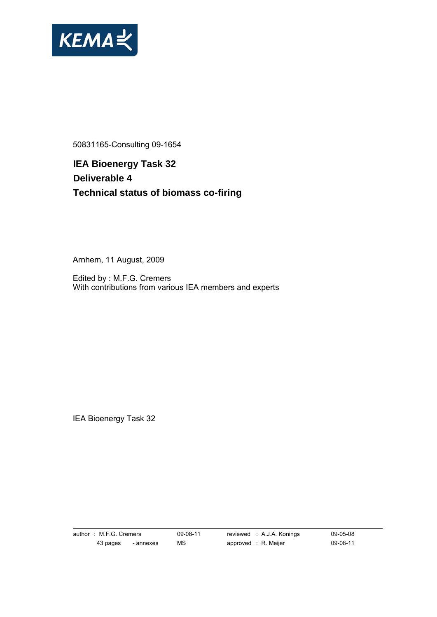

50831165-Consulting 09-1654

**IEA Bioenergy Task 32 Deliverable 4 Technical status of biomass co-firing** 

Arnhem, 11 August, 2009

Edited by : M.F.G. Cremers With contributions from various IEA members and experts

IEA Bioenergy Task 32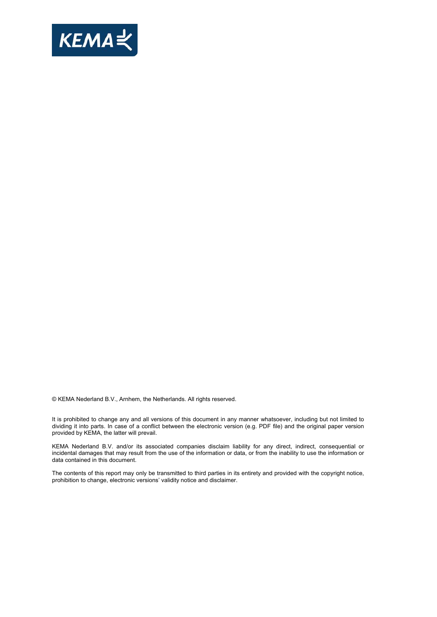

© KEMA Nederland B.V., Arnhem, the Netherlands. All rights reserved.

It is prohibited to change any and all versions of this document in any manner whatsoever, including but not limited to dividing it into parts. In case of a conflict between the electronic version (e.g. PDF file) and the original paper version provided by KEMA, the latter will prevail.

KEMA Nederland B.V. and/or its associated companies disclaim liability for any direct, indirect, consequential or incidental damages that may result from the use of the information or data, or from the inability to use the information or data contained in this document.

The contents of this report may only be transmitted to third parties in its entirety and provided with the copyright notice, prohibition to change, electronic versions' validity notice and disclaimer.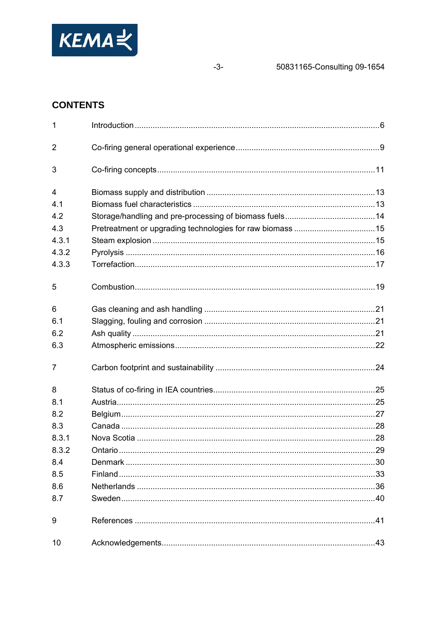

 $-3-$ 

# **CONTENTS**

| $\mathbf{1}$   |  |
|----------------|--|
| $\overline{2}$ |  |
| 3              |  |
| 4              |  |
| 4.1            |  |
| 4.2            |  |
| 4.3            |  |
| 4.3.1          |  |
| 4.3.2          |  |
| 4.3.3          |  |
| 5              |  |
| 6              |  |
| 6.1            |  |
| 6.2            |  |
| 6.3            |  |
| $\overline{7}$ |  |
| 8              |  |
| 8.1            |  |
| 8.2            |  |
| 8.3            |  |
| 8.3.1          |  |
| 8.3.2          |  |
| 8.4            |  |
| 8.5            |  |
| 8.6            |  |
| 8.7            |  |
| 9              |  |
| 10             |  |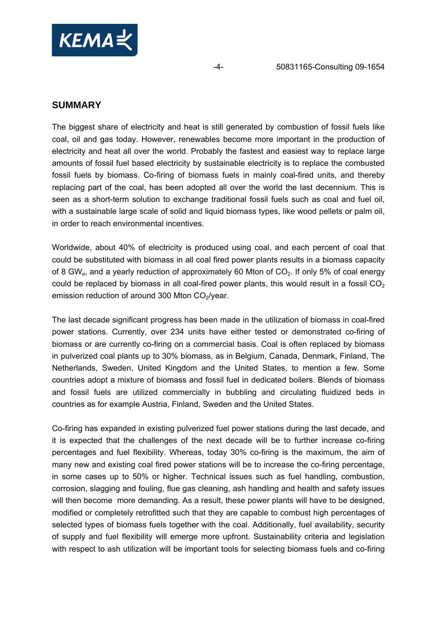

## **SUMMARY**

The biggest share of electricity and heat is still generated by combustion of fossil fuels like coal, oil and gas today. However, renewables become more important in the production of electricity and heat all over the world. Probably the fastest and easiest way to replace large amounts of fossil fuel based electricity by sustainable electricity is to replace the combusted fossil fuels by biomass. Co-firing of biomass fuels in mainly coal-fired units, and thereby replacing part of the coal, has been adopted all over the world the last decennium. This is seen as a short-term solution to exchange traditional fossil fuels such as coal and fuel oil, with a sustainable large scale of solid and liquid biomass types, like wood pellets or palm oil, in order to reach environmental incentives.

Worldwide, about 40% of electricity is produced using coal, and each percent of coal that could be substituted with biomass in all coal fired power plants results in a biomass capacity of 8 GW<sub>e</sub>, and a yearly reduction of approximately 60 Mton of  $CO<sub>2</sub>$ . If only 5% of coal energy could be replaced by biomass in all coal-fired power plants, this would result in a fossil  $CO<sub>2</sub>$ emission reduction of around 300 Mton  $CO<sub>2</sub>/year$ .

The last decade significant progress has been made in the utilization of biomass in coal-fired power stations. Currently, over 234 units have either tested or demonstrated co-firing of biomass or are currently co-firing on a commercial basis. Coal is often replaced by biomass in pulverized coal plants up to 30% biomass, as in Belgium, Canada, Denmark, Finland, The Netherlands, Sweden, United Kingdom and the United States, to mention a few. Some countries adopt a mixture of biomass and fossil fuel in dedicated boilers. Blends of biomass and fossil fuels are utilized commercially in bubbling and circulating fluidized beds in countries as for example Austria, Finland, Sweden and the United States.

Co-firing has expanded in existing pulverized fuel power stations during the last decade, and it is expected that the challenges of the next decade will be to further increase co-firing percentages and fuel flexibility. Whereas, today 30% co-firing is the maximum, the aim of many new and existing coal fired power stations will be to increase the co-firing percentage, in some cases up to 50% or higher. Technical issues such as fuel handling, combustion, corrosion, slagging and fouling, flue gas cleaning, ash handling and health and safety issues will then become more demanding. As a result, these power plants will have to be designed, modified or completely retrofitted such that they are capable to combust high percentages of selected types of biomass fuels together with the coal. Additionally, fuel availability, security of supply and fuel flexibility will emerge more upfront. Sustainability criteria and legislation with respect to ash utilization will be important tools for selecting biomass fuels and co-firing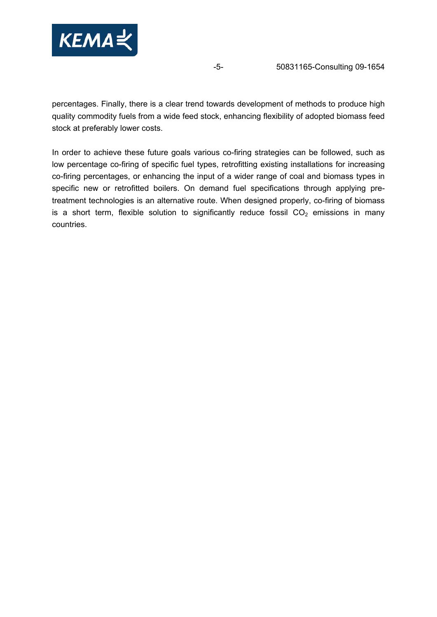

percentages. Finally, there is a clear trend towards development of methods to produce high quality commodity fuels from a wide feed stock, enhancing flexibility of adopted biomass feed stock at preferably lower costs.

In order to achieve these future goals various co-firing strategies can be followed, such as low percentage co-firing of specific fuel types, retrofitting existing installations for increasing co-firing percentages, or enhancing the input of a wider range of coal and biomass types in specific new or retrofitted boilers. On demand fuel specifications through applying pretreatment technologies is an alternative route. When designed properly, co-firing of biomass is a short term, flexible solution to significantly reduce fossil  $CO<sub>2</sub>$  emissions in many countries.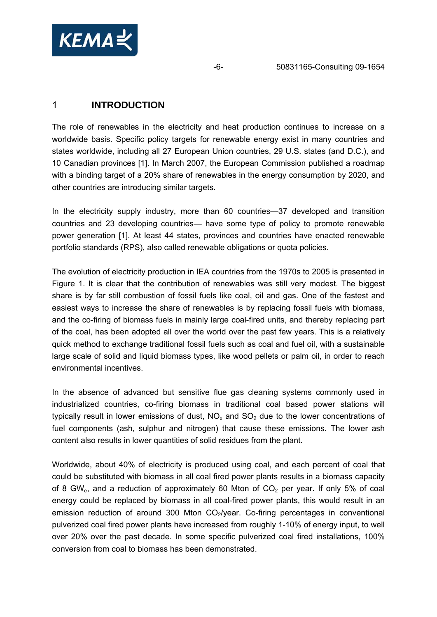<span id="page-5-0"></span>

## 1 **INTRODUCTION**

The role of renewables in the electricity and heat production continues to increase on a worldwide basis. Specific policy targets for renewable energy exist in many countries and states worldwide, including all 27 European Union countries, 29 U.S. states (and D.C.), and 10 Canadian provinces [1]. In March 2007, the European Commission published a roadmap with a binding target of a 20% share of renewables in the energy consumption by 2020, and other countries are introducing similar targets.

In the electricity supply industry, more than 60 countries—37 developed and transition countries and 23 developing countries— have some type of policy to promote renewable power generation [1]. At least 44 states, provinces and countries have enacted renewable portfolio standards (RPS), also called renewable obligations or quota policies.

The evolution of electricity production in IEA countries from the 1970s to 2005 is presented in [Figure 1.](#page-6-0) It is clear that the contribution of renewables was still very modest. The biggest share is by far still combustion of fossil fuels like coal, oil and gas. One of the fastest and easiest ways to increase the share of renewables is by replacing fossil fuels with biomass, and the co-firing of biomass fuels in mainly large coal-fired units, and thereby replacing part of the coal, has been adopted all over the world over the past few years. This is a relatively quick method to exchange traditional fossil fuels such as coal and fuel oil, with a sustainable large scale of solid and liquid biomass types, like wood pellets or palm oil, in order to reach environmental incentives.

In the absence of advanced but sensitive flue gas cleaning systems commonly used in industrialized countries, co-firing biomass in traditional coal based power stations will typically result in lower emissions of dust,  $NO<sub>x</sub>$  and  $SO<sub>2</sub>$  due to the lower concentrations of fuel components (ash, sulphur and nitrogen) that cause these emissions. The lower ash content also results in lower quantities of solid residues from the plant.

Worldwide, about 40% of electricity is produced using coal, and each percent of coal that could be substituted with biomass in all coal fired power plants results in a biomass capacity of 8 GW<sub>e</sub>, and a reduction of approximately 60 Mton of  $CO<sub>2</sub>$  per year. If only 5% of coal energy could be replaced by biomass in all coal-fired power plants, this would result in an emission reduction of around 300 Mton  $CO<sub>2</sub>/year$ . Co-firing percentages in conventional pulverized coal fired power plants have increased from roughly 1-10% of energy input, to well over 20% over the past decade. In some specific pulverized coal fired installations, 100% conversion from coal to biomass has been demonstrated.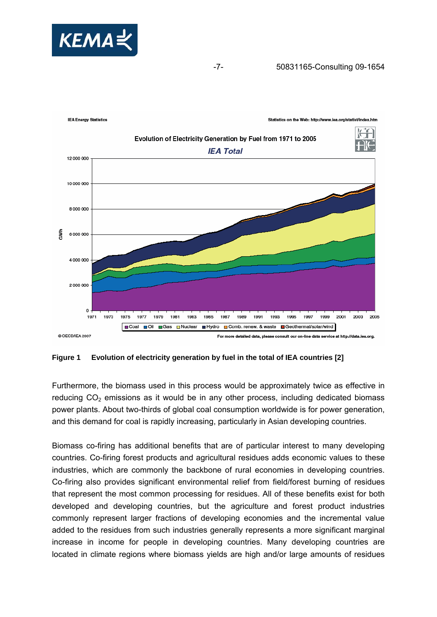



<span id="page-6-0"></span>**Figure 1 Evolution of electricity generation by fuel in the total of IEA countries [2]** 

Furthermore, the biomass used in this process would be approximately twice as effective in reducing  $CO<sub>2</sub>$  emissions as it would be in any other process, including dedicated biomass power plants. About two-thirds of global coal consumption worldwide is for power generation, and this demand for coal is rapidly increasing, particularly in Asian developing countries.

Biomass co-firing has additional benefits that are of particular interest to many developing countries. Co-firing forest products and agricultural residues adds economic values to these industries, which are commonly the backbone of rural economies in developing countries. Co-firing also provides significant environmental relief from field/forest burning of residues that represent the most common processing for residues. All of these benefits exist for both developed and developing countries, but the agriculture and forest product industries commonly represent larger fractions of developing economies and the incremental value added to the residues from such industries generally represents a more significant marginal increase in income for people in developing countries. Many developing countries are located in climate regions where biomass yields are high and/or large amounts of residues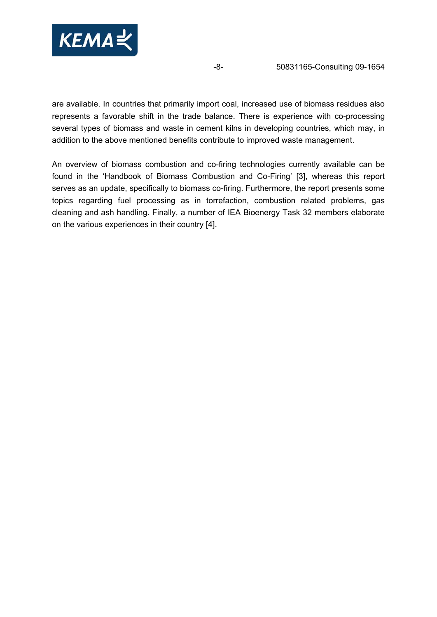

are available. In countries that primarily import coal, increased use of biomass residues also represents a favorable shift in the trade balance. There is experience with co-processing several types of biomass and waste in cement kilns in developing countries, which may, in addition to the above mentioned benefits contribute to improved waste management.

An overview of biomass combustion and co-firing technologies currently available can be found in the 'Handbook of Biomass Combustion and Co-Firing' [3], whereas this report serves as an update, specifically to biomass co-firing. Furthermore, the report presents some topics regarding fuel processing as in torrefaction, combustion related problems, gas cleaning and ash handling. Finally, a number of IEA Bioenergy Task 32 members elaborate on the various experiences in their country [4].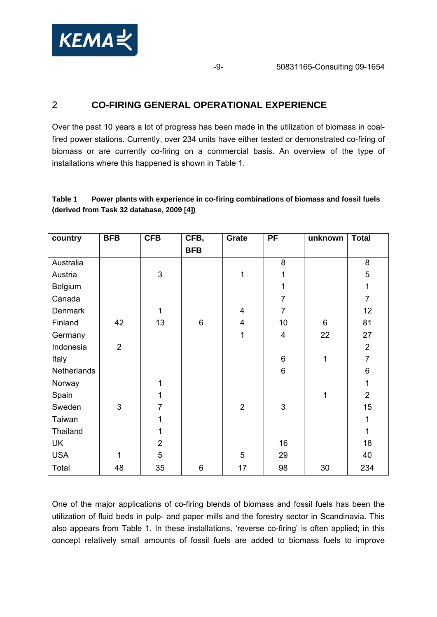<span id="page-8-0"></span>

# 2 **CO-FIRING GENERAL OPERATIONAL EXPERIENCE**

Over the past 10 years a lot of progress has been made in the utilization of biomass in coalfired power stations. Currently, over 234 units have either tested or demonstrated co-firing of biomass or are currently co-firing on a commercial basis. An overview of the type of installations where this happened is shown in [Table 1.](#page-8-1)

## <span id="page-8-1"></span>**Table 1 Power plants with experience in co-firing combinations of biomass and fossil fuels (derived from Task 32 database, 2009 [4])**

| country     | <b>BFB</b>     | <b>CFB</b>     | CFB,       | Grate          | <b>PF</b>      | unknown | <b>Total</b>   |
|-------------|----------------|----------------|------------|----------------|----------------|---------|----------------|
|             |                |                | <b>BFB</b> |                |                |         |                |
| Australia   |                |                |            |                | 8              |         | 8              |
| Austria     |                | 3              |            | 1              | 1              |         | 5              |
| Belgium     |                |                |            |                | 1              |         | $\mathbf{1}$   |
| Canada      |                |                |            |                | $\overline{7}$ |         | $\overline{7}$ |
| Denmark     |                | 1              |            | 4              | $\overline{7}$ |         | 12             |
| Finland     | 42             | 13             | 6          | 4              | 10             | $\,6\,$ | 81             |
| Germany     |                |                |            | 1              | $\overline{4}$ | 22      | 27             |
| Indonesia   | $\overline{2}$ |                |            |                |                |         | $\overline{2}$ |
| Italy       |                |                |            |                | 6              | 1       | $\overline{7}$ |
| Netherlands |                |                |            |                | 6              |         | 6              |
| Norway      |                | 1              |            |                |                |         | $\mathbf{1}$   |
| Spain       |                | 1              |            |                |                | 1       | $\overline{2}$ |
| Sweden      | 3              | 7              |            | $\overline{2}$ | 3              |         | 15             |
| Taiwan      |                | 1              |            |                |                |         | $\mathbf{1}$   |
| Thailand    |                | 1              |            |                |                |         | $\mathbf{1}$   |
| UK          |                | $\overline{2}$ |            |                | 16             |         | 18             |
| <b>USA</b>  | 1              | 5              |            | 5              | 29             |         | 40             |
| Total       | 48             | 35             | 6          | 17             | 98             | 30      | 234            |

One of the major applications of co-firing blends of biomass and fossil fuels has been the utilization of fluid beds in pulp- and paper mills and the forestry sector in Scandinavia. This also appears from [Table 1.](#page-8-1) In these installations, 'reverse co-firing' is often applied; in this concept relatively small amounts of fossil fuels are added to biomass fuels to improve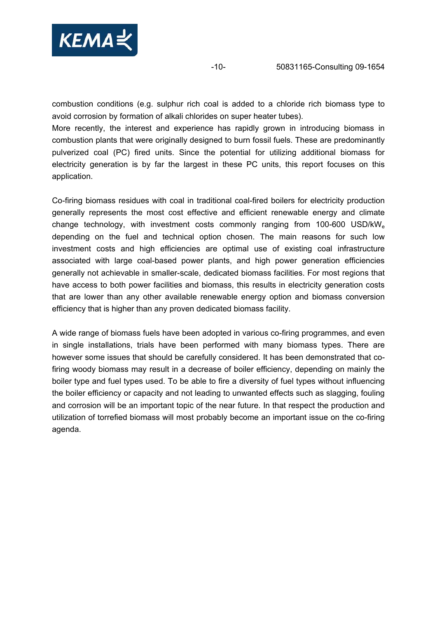

combustion conditions (e.g. sulphur rich coal is added to a chloride rich biomass type to avoid corrosion by formation of alkali chlorides on super heater tubes).

More recently, the interest and experience has rapidly grown in introducing biomass in combustion plants that were originally designed to burn fossil fuels. These are predominantly pulverized coal (PC) fired units. Since the potential for utilizing additional biomass for electricity generation is by far the largest in these PC units, this report focuses on this application.

Co-firing biomass residues with coal in traditional coal-fired boilers for electricity production generally represents the most cost effective and efficient renewable energy and climate change technology, with investment costs commonly ranging from 100-600 USD/kWe depending on the fuel and technical option chosen. The main reasons for such low investment costs and high efficiencies are optimal use of existing coal infrastructure associated with large coal-based power plants, and high power generation efficiencies generally not achievable in smaller-scale, dedicated biomass facilities. For most regions that have access to both power facilities and biomass, this results in electricity generation costs that are lower than any other available renewable energy option and biomass conversion efficiency that is higher than any proven dedicated biomass facility.

A wide range of biomass fuels have been adopted in various co-firing programmes, and even in single installations, trials have been performed with many biomass types. There are however some issues that should be carefully considered. It has been demonstrated that cofiring woody biomass may result in a decrease of boiler efficiency, depending on mainly the boiler type and fuel types used. To be able to fire a diversity of fuel types without influencing the boiler efficiency or capacity and not leading to unwanted effects such as slagging, fouling and corrosion will be an important topic of the near future. In that respect the production and utilization of torrefied biomass will most probably become an important issue on the co-firing agenda.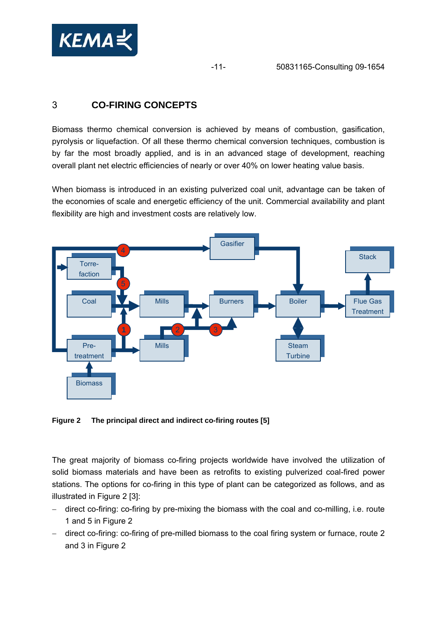<span id="page-10-0"></span>

# 3 **CO-FIRING CONCEPTS**

Biomass thermo chemical conversion is achieved by means of combustion, gasification, pyrolysis or liquefaction. Of all these thermo chemical conversion techniques, combustion is by far the most broadly applied, and is in an advanced stage of development, reaching overall plant net electric efficiencies of nearly or over 40% on lower heating value basis.

When biomass is introduced in an existing pulverized coal unit, advantage can be taken of the economies of scale and energetic efficiency of the unit. Commercial availability and plant flexibility are high and investment costs are relatively low.



<span id="page-10-1"></span>**Figure 2 The principal direct and indirect co-firing routes [5]** 

The great majority of biomass co-firing projects worldwide have involved the utilization of solid biomass materials and have been as retrofits to existing pulverized coal-fired power stations. The options for co-firing in this type of plant can be categorized as follows, and as illustrated in [Figure 2](#page-10-1) [3]:

- − direct co-firing: co-firing by pre-mixing the biomass with the coal and co-milling, i.e. route 1 and 5 in [Figure 2](#page-10-1)
- − direct co-firing: co-firing of pre-milled biomass to the coal firing system or furnace, route 2 and 3 in [Figure 2](#page-10-1)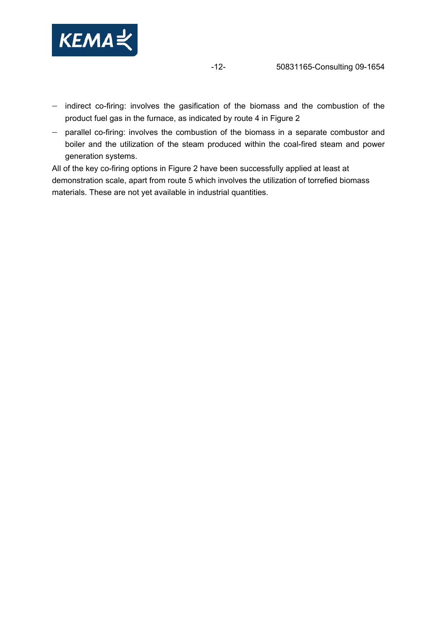

- − indirect co-firing: involves the gasification of the biomass and the combustion of the product fuel gas in the furnace, as indicated by route 4 in [Figure 2](#page-10-1)
- − parallel co-firing: involves the combustion of the biomass in a separate combustor and boiler and the utilization of the steam produced within the coal-fired steam and power generation systems.

All of the key co-firing options in [Figure 2](#page-10-1) have been successfully applied at least at demonstration scale, apart from route 5 which involves the utilization of torrefied biomass materials. These are not yet available in industrial quantities.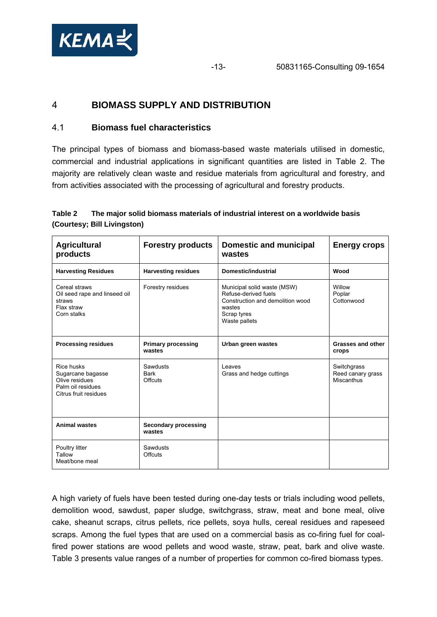<span id="page-12-0"></span>

# 4 **BIOMASS SUPPLY AND DISTRIBUTION**

## 4.1 **Biomass fuel characteristics**

The principal types of biomass and biomass-based waste materials utilised in domestic, commercial and industrial applications in significant quantities are listed in [Table 2.](#page-12-1) The majority are relatively clean waste and residue materials from agricultural and forestry, and from activities associated with the processing of agricultural and forestry products.

### <span id="page-12-1"></span>**Table 2 The major solid biomass materials of industrial interest on a worldwide basis (Courtesy; Bill Livingston)**

| <b>Agricultural</b><br>products                                                                 | <b>Forestry products</b>                  | <b>Domestic and municipal</b><br>wastes                                                                                           | <b>Energy crops</b>                            |
|-------------------------------------------------------------------------------------------------|-------------------------------------------|-----------------------------------------------------------------------------------------------------------------------------------|------------------------------------------------|
| <b>Harvesting Residues</b>                                                                      | <b>Harvesting residues</b>                | <b>Domestic/industrial</b>                                                                                                        | Wood                                           |
| Cereal straws<br>Oil seed rape and linseed oil<br>straws<br>Flax straw<br>Corn stalks           | Forestry residues                         | Municipal solid waste (MSW)<br>Refuse-derived fuels<br>Construction and demolition wood<br>wastes<br>Scrap tyres<br>Waste pallets | Willow<br>Poplar<br>Cottonwood                 |
| <b>Processing residues</b>                                                                      | <b>Primary processing</b><br>wastes       | Urban green wastes                                                                                                                | <b>Grasses and other</b><br>crops              |
| Rice husks<br>Sugarcane bagasse<br>Olive residues<br>Palm oil residues<br>Citrus fruit residues | Sawdusts<br><b>Bark</b><br><b>Offcuts</b> | Leaves<br>Grass and hedge cuttings                                                                                                | Switchgrass<br>Reed canary grass<br>Miscanthus |
| <b>Animal wastes</b>                                                                            | Secondary processing<br>wastes            |                                                                                                                                   |                                                |
| Poultry litter<br>Tallow<br>Meat/bone meal                                                      | Sawdusts<br><b>Offcuts</b>                |                                                                                                                                   |                                                |

A high variety of fuels have been tested during one-day tests or trials including wood pellets, demolition wood, sawdust, paper sludge, switchgrass, straw, meat and bone meal, olive cake, sheanut scraps, citrus pellets, rice pellets, soya hulls, cereal residues and rapeseed scraps. Among the fuel types that are used on a commercial basis as co-firing fuel for coalfired power stations are wood pellets and wood waste, straw, peat, bark and olive waste. [Table 3](#page-13-1) presents value ranges of a number of properties for common co-fired biomass types.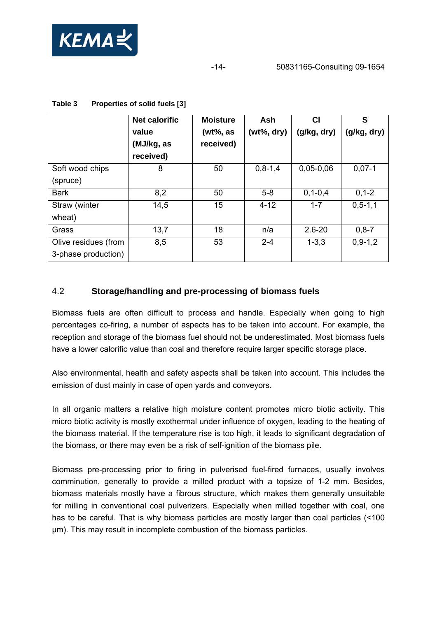<span id="page-13-0"></span>

<span id="page-13-1"></span>

|                                             | <b>Net calorific</b><br>value<br>(MJ/kg, as<br>received) | <b>Moisture</b><br>(wt%, as<br>received) | Ash<br>$(wt\%, dry)$ | СI<br>(g/kg, dry) | S<br>(g/kg, dry) |
|---------------------------------------------|----------------------------------------------------------|------------------------------------------|----------------------|-------------------|------------------|
| Soft wood chips<br>(spruce)                 | 8                                                        | 50                                       | $0,8-1,4$            | $0,05-0,06$       | $0,07-1$         |
| <b>Bark</b>                                 | 8,2                                                      | 50                                       | $5 - 8$              | $0, 1 - 0, 4$     | $0, 1 - 2$       |
| Straw (winter<br>wheat)                     | 14,5                                                     | 15                                       | $4 - 12$             | $1 - 7$           | $0, 5 - 1, 1$    |
| Grass                                       | 13,7                                                     | 18                                       | n/a                  | $2.6 - 20$        | $0, 8 - 7$       |
| Olive residues (from<br>3-phase production) | 8,5                                                      | 53                                       | $2 - 4$              | $1 - 3.3$         | $0.9 - 1.2$      |

#### **Table 3 Properties of solid fuels [3]**

## 4.2 **Storage/handling and pre-processing of biomass fuels**

Biomass fuels are often difficult to process and handle. Especially when going to high percentages co-firing, a number of aspects has to be taken into account. For example, the reception and storage of the biomass fuel should not be underestimated. Most biomass fuels have a lower calorific value than coal and therefore require larger specific storage place.

Also environmental, health and safety aspects shall be taken into account. This includes the emission of dust mainly in case of open yards and conveyors.

In all organic matters a relative high moisture content promotes micro biotic activity. This micro biotic activity is mostly exothermal under influence of oxygen, leading to the heating of the biomass material. If the temperature rise is too high, it leads to significant degradation of the biomass, or there may even be a risk of self-ignition of the biomass pile.

Biomass pre-processing prior to firing in pulverised fuel-fired furnaces, usually involves comminution, generally to provide a milled product with a topsize of 1-2 mm. Besides, biomass materials mostly have a fibrous structure, which makes them generally unsuitable for milling in conventional coal pulverizers. Especially when milled together with coal, one has to be careful. That is why biomass particles are mostly larger than coal particles (<100) μm). This may result in incomplete combustion of the biomass particles.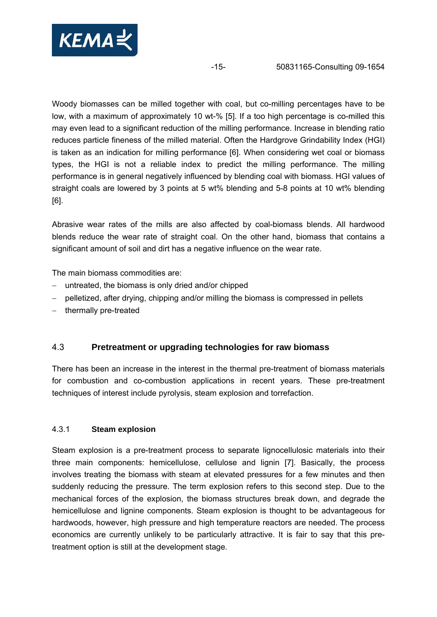<span id="page-14-0"></span>

Woody biomasses can be milled together with coal, but co-milling percentages have to be low, with a maximum of approximately 10 wt-% [5]. If a too high percentage is co-milled this may even lead to a significant reduction of the milling performance. Increase in blending ratio reduces particle fineness of the milled material. Often the Hardgrove Grindability Index (HGI) is taken as an indication for milling performance [6]. When considering wet coal or biomass types, the HGI is not a reliable index to predict the milling performance. The milling performance is in general negatively influenced by blending coal with biomass. HGI values of straight coals are lowered by 3 points at 5 wt% blending and 5-8 points at 10 wt% blending [6].

Abrasive wear rates of the mills are also affected by coal-biomass blends. All hardwood blends reduce the wear rate of straight coal. On the other hand, biomass that contains a significant amount of soil and dirt has a negative influence on the wear rate.

The main biomass commodities are:

- − untreated, the biomass is only dried and/or chipped
- − pelletized, after drying, chipping and/or milling the biomass is compressed in pellets
- − thermally pre-treated

### 4.3 **Pretreatment or upgrading technologies for raw biomass**

There has been an increase in the interest in the thermal pre-treatment of biomass materials for combustion and co-combustion applications in recent years. These pre-treatment techniques of interest include pyrolysis, steam explosion and torrefaction.

### 4.3.1 **Steam explosion**

Steam explosion is a pre-treatment process to separate lignocellulosic materials into their three main components: hemicellulose, cellulose and lignin [7]. Basically, the process involves treating the biomass with steam at elevated pressures for a few minutes and then suddenly reducing the pressure. The term explosion refers to this second step. Due to the mechanical forces of the explosion, the biomass structures break down, and degrade the hemicellulose and lignine components. Steam explosion is thought to be advantageous for hardwoods, however, high pressure and high temperature reactors are needed. The process economics are currently unlikely to be particularly attractive. It is fair to say that this pretreatment option is still at the development stage.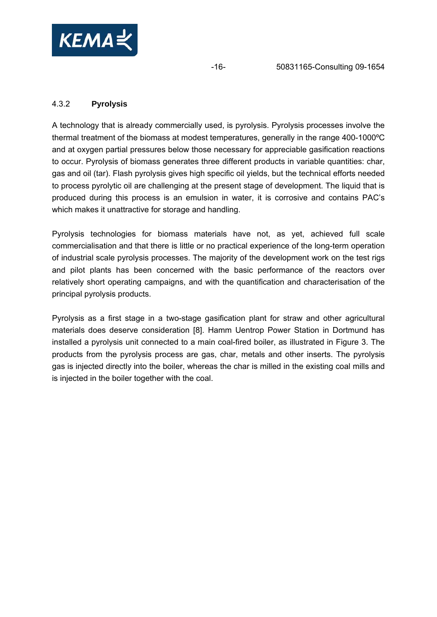<span id="page-15-0"></span>

## 4.3.2 **Pyrolysis**

A technology that is already commercially used, is pyrolysis. Pyrolysis processes involve the thermal treatment of the biomass at modest temperatures, generally in the range 400-1000ºC and at oxygen partial pressures below those necessary for appreciable gasification reactions to occur. Pyrolysis of biomass generates three different products in variable quantities: char, gas and oil (tar). Flash pyrolysis gives high specific oil yields, but the technical efforts needed to process pyrolytic oil are challenging at the present stage of development. The liquid that is produced during this process is an emulsion in water, it is corrosive and contains PAC's which makes it unattractive for storage and handling.

Pyrolysis technologies for biomass materials have not, as yet, achieved full scale commercialisation and that there is little or no practical experience of the long-term operation of industrial scale pyrolysis processes. The majority of the development work on the test rigs and pilot plants has been concerned with the basic performance of the reactors over relatively short operating campaigns, and with the quantification and characterisation of the principal pyrolysis products.

Pyrolysis as a first stage in a two-stage gasification plant for straw and other agricultural materials does deserve consideration [8]. Hamm Uentrop Power Station in Dortmund has installed a pyrolysis unit connected to a main coal-fired boiler, as illustrated in [Figure 3.](#page-16-1) The products from the pyrolysis process are gas, char, metals and other inserts. The pyrolysis gas is injected directly into the boiler, whereas the char is milled in the existing coal mills and is injected in the boiler together with the coal.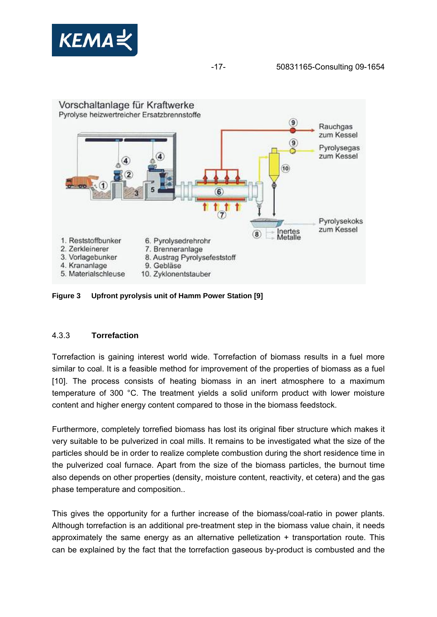<span id="page-16-0"></span>



<span id="page-16-1"></span>**Figure 3 Upfront pyrolysis unit of Hamm Power Station [9]** 

### 4.3.3 **Torrefaction**

Torrefaction is gaining interest world wide. Torrefaction of biomass results in a fuel more similar to coal. It is a feasible method for improvement of the properties of biomass as a fuel [10]. The process consists of heating biomass in an inert atmosphere to a maximum temperature of 300 °C. The treatment yields a solid uniform product with lower moisture content and higher energy content compared to those in the biomass feedstock.

Furthermore, completely torrefied biomass has lost its original fiber structure which makes it very suitable to be pulverized in coal mills. It remains to be investigated what the size of the particles should be in order to realize complete combustion during the short residence time in the pulverized coal furnace. Apart from the size of the biomass particles, the burnout time also depends on other properties (density, moisture content, reactivity, et cetera) and the gas phase temperature and composition..

This gives the opportunity for a further increase of the biomass/coal-ratio in power plants. Although torrefaction is an additional pre-treatment step in the biomass value chain, it needs approximately the same energy as an alternative pelletization + transportation route. This can be explained by the fact that the torrefaction gaseous by-product is combusted and the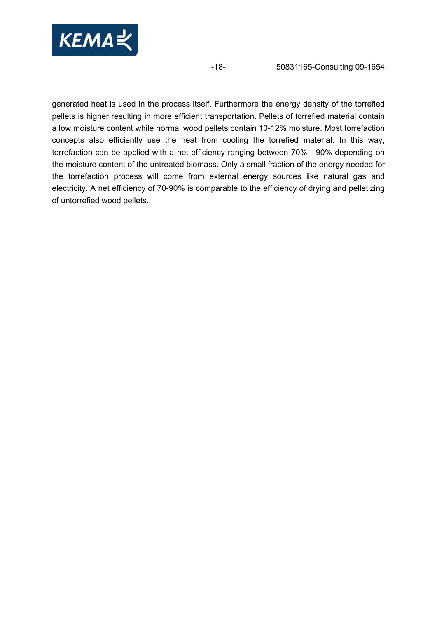

-18- 50831165-Consulting 09-1654

generated heat is used in the process itself. Furthermore the energy density of the torrefied pellets is higher resulting in more efficient transportation. Pellets of torrefied material contain a low moisture content while normal wood pellets contain 10-12% moisture. Most torrefaction concepts also efficiently use the heat from cooling the torrefied material. In this way, torrefaction can be applied with a net efficiency ranging between 70% - 90% depending on the moisture content of the untreated biomass. Only a small fraction of the energy needed for the torrefaction process will come from external energy sources like natural gas and electricity. A net efficiency of 70-90% is comparable to the efficiency of drying and pelletizing of untorrefied wood pellets.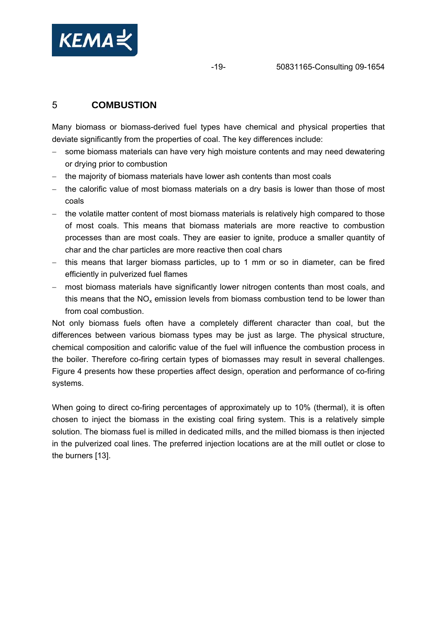<span id="page-18-0"></span>

# 5 **COMBUSTION**

Many biomass or biomass-derived fuel types have chemical and physical properties that deviate significantly from the properties of coal. The key differences include:

- − some biomass materials can have very high moisture contents and may need dewatering or drying prior to combustion
- − the majority of biomass materials have lower ash contents than most coals
- − the calorific value of most biomass materials on a dry basis is lower than those of most coals
- − the volatile matter content of most biomass materials is relatively high compared to those of most coals. This means that biomass materials are more reactive to combustion processes than are most coals. They are easier to ignite, produce a smaller quantity of char and the char particles are more reactive then coal chars
- − this means that larger biomass particles, up to 1 mm or so in diameter, can be fired efficiently in pulverized fuel flames
- − most biomass materials have significantly lower nitrogen contents than most coals, and this means that the  $NO<sub>x</sub>$  emission levels from biomass combustion tend to be lower than from coal combustion.

Not only biomass fuels often have a completely different character than coal, but the differences between various biomass types may be just as large. The physical structure, chemical composition and calorific value of the fuel will influence the combustion process in the boiler. Therefore co-firing certain types of biomasses may result in several challenges. [Figure 4](#page-25-0) presents how these properties affect design, operation and performance of co-firing systems.

When going to direct co-firing percentages of approximately up to 10% (thermal), it is often chosen to inject the biomass in the existing coal firing system. This is a relatively simple solution. The biomass fuel is milled in dedicated mills, and the milled biomass is then injected in the pulverized coal lines. The preferred injection locations are at the mill outlet or close to the burners [13].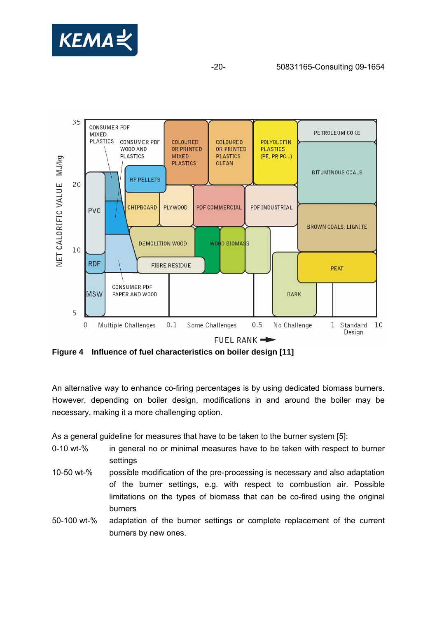



**Figure 4 Influence of fuel characteristics on boiler design [11]**

An alternative way to enhance co-firing percentages is by using dedicated biomass burners. However, depending on boiler design, modifications in and around the boiler may be necessary, making it a more challenging option.

As a general guideline for measures that have to be taken to the burner system [5]:

- 0-10 wt-% in general no or minimal measures have to be taken with respect to burner settings
- 10-50 wt-% possible modification of the pre-processing is necessary and also adaptation of the burner settings, e.g. with respect to combustion air. Possible limitations on the types of biomass that can be co-fired using the original burners
- 50-100 wt-% adaptation of the burner settings or complete replacement of the current burners by new ones.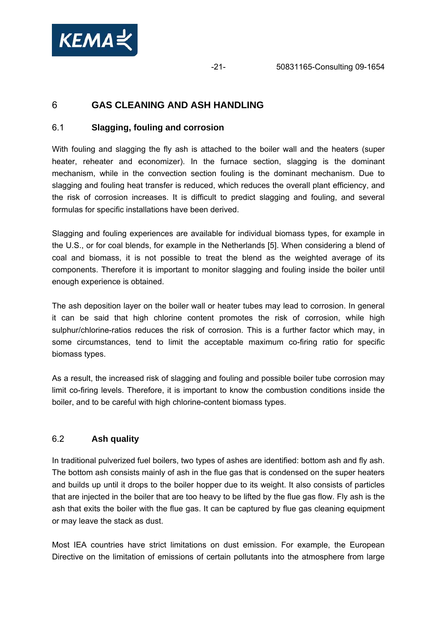<span id="page-20-0"></span>

# 6 **GAS CLEANING AND ASH HANDLING**

## 6.1 **Slagging, fouling and corrosion**

With fouling and slagging the fly ash is attached to the boiler wall and the heaters (super heater, reheater and economizer). In the furnace section, slagging is the dominant mechanism, while in the convection section fouling is the dominant mechanism. Due to slagging and fouling heat transfer is reduced, which reduces the overall plant efficiency, and the risk of corrosion increases. It is difficult to predict slagging and fouling, and several formulas for specific installations have been derived.

Slagging and fouling experiences are available for individual biomass types, for example in the U.S., or for coal blends, for example in the Netherlands [5]. When considering a blend of coal and biomass, it is not possible to treat the blend as the weighted average of its components. Therefore it is important to monitor slagging and fouling inside the boiler until enough experience is obtained.

The ash deposition layer on the boiler wall or heater tubes may lead to corrosion. In general it can be said that high chlorine content promotes the risk of corrosion, while high sulphur/chlorine-ratios reduces the risk of corrosion. This is a further factor which may, in some circumstances, tend to limit the acceptable maximum co-firing ratio for specific biomass types.

As a result, the increased risk of slagging and fouling and possible boiler tube corrosion may limit co-firing levels. Therefore, it is important to know the combustion conditions inside the boiler, and to be careful with high chlorine-content biomass types.

## 6.2 **Ash quality**

In traditional pulverized fuel boilers, two types of ashes are identified: bottom ash and fly ash. The bottom ash consists mainly of ash in the flue gas that is condensed on the super heaters and builds up until it drops to the boiler hopper due to its weight. It also consists of particles that are injected in the boiler that are too heavy to be lifted by the flue gas flow. Fly ash is the ash that exits the boiler with the flue gas. It can be captured by flue gas cleaning equipment or may leave the stack as dust.

Most IEA countries have strict limitations on dust emission. For example, the European Directive on the limitation of emissions of certain pollutants into the atmosphere from large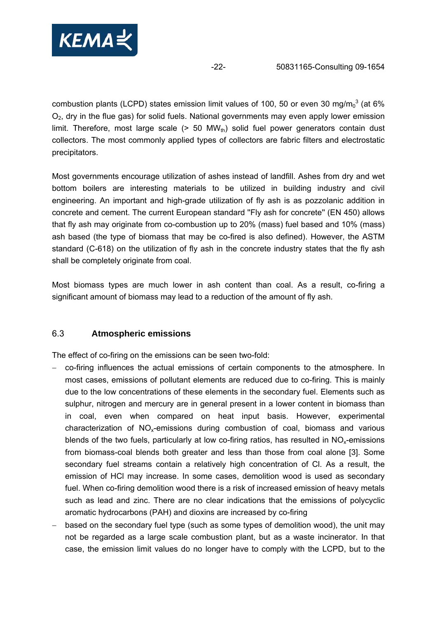<span id="page-21-0"></span>

combustion plants (LCPD) states emission limit values of 100, 50 or even 30 mg/m $_0^3$  (at 6%  $O<sub>2</sub>$ , dry in the flue gas) for solid fuels. National governments may even apply lower emission limit. Therefore, most large scale  $(> 50 \text{ MW}_{th})$  solid fuel power generators contain dust collectors. The most commonly applied types of collectors are fabric filters and electrostatic precipitators.

Most governments encourage utilization of ashes instead of landfill. Ashes from dry and wet bottom boilers are interesting materials to be utilized in building industry and civil engineering. An important and high-grade utilization of fly ash is as pozzolanic addition in concrete and cement. The current European standard ''Fly ash for concrete'' (EN 450) allows that fly ash may originate from co-combustion up to 20% (mass) fuel based and 10% (mass) ash based (the type of biomass that may be co-fired is also defined). However, the ASTM standard (C-618) on the utilization of fly ash in the concrete industry states that the fly ash shall be completely originate from coal.

Most biomass types are much lower in ash content than coal. As a result, co-firing a significant amount of biomass may lead to a reduction of the amount of fly ash.

### 6.3 **Atmospheric emissions**

The effect of co-firing on the emissions can be seen two-fold:

- − co-firing influences the actual emissions of certain components to the atmosphere. In most cases, emissions of pollutant elements are reduced due to co-firing. This is mainly due to the low concentrations of these elements in the secondary fuel. Elements such as sulphur, nitrogen and mercury are in general present in a lower content in biomass than in coal, even when compared on heat input basis. However, experimental characterization of  $NO<sub>x</sub>$ -emissions during combustion of coal, biomass and various blends of the two fuels, particularly at low co-firing ratios, has resulted in  $NO<sub>x</sub>$ -emissions from biomass-coal blends both greater and less than those from coal alone [3]. Some secondary fuel streams contain a relatively high concentration of Cl. As a result, the emission of HCl may increase. In some cases, demolition wood is used as secondary fuel. When co-firing demolition wood there is a risk of increased emission of heavy metals such as lead and zinc. There are no clear indications that the emissions of polycyclic aromatic hydrocarbons (PAH) and dioxins are increased by co-firing
- based on the secondary fuel type (such as some types of demolition wood), the unit may not be regarded as a large scale combustion plant, but as a waste incinerator. In that case, the emission limit values do no longer have to comply with the LCPD, but to the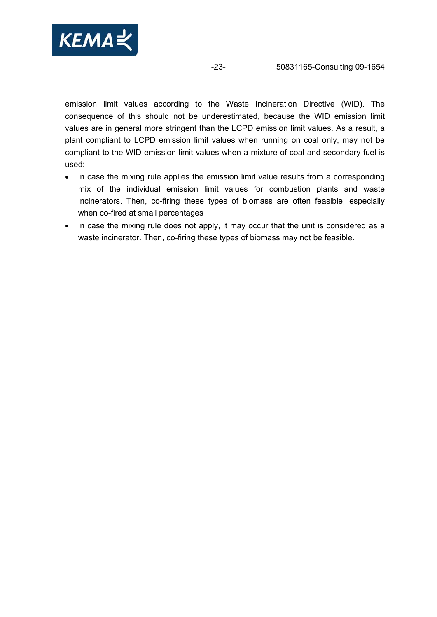

-23- 50831165-Consulting 09-1654

emission limit values according to the Waste Incineration Directive (WID). The consequence of this should not be underestimated, because the WID emission limit values are in general more stringent than the LCPD emission limit values. As a result, a plant compliant to LCPD emission limit values when running on coal only, may not be compliant to the WID emission limit values when a mixture of coal and secondary fuel is used:

- in case the mixing rule applies the emission limit value results from a corresponding mix of the individual emission limit values for combustion plants and waste incinerators. Then, co-firing these types of biomass are often feasible, especially when co-fired at small percentages
- in case the mixing rule does not apply, it may occur that the unit is considered as a waste incinerator. Then, co-firing these types of biomass may not be feasible.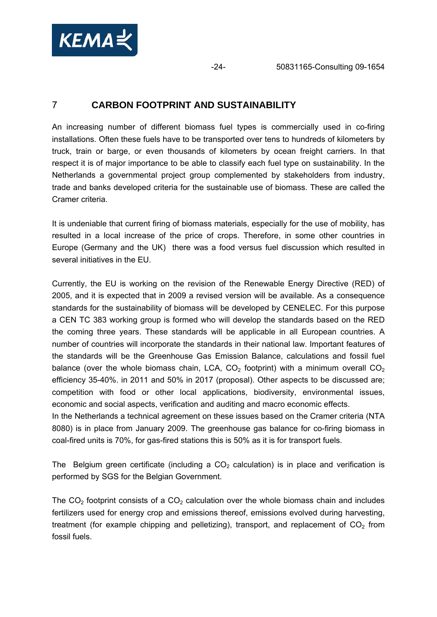<span id="page-23-0"></span>

# 7 **CARBON FOOTPRINT AND SUSTAINABILITY**

An increasing number of different biomass fuel types is commercially used in co-firing installations. Often these fuels have to be transported over tens to hundreds of kilometers by truck, train or barge, or even thousands of kilometers by ocean freight carriers. In that respect it is of major importance to be able to classify each fuel type on sustainability. In the Netherlands a governmental project group complemented by stakeholders from industry, trade and banks developed criteria for the sustainable use of biomass. These are called the Cramer criteria.

It is undeniable that current firing of biomass materials, especially for the use of mobility, has resulted in a local increase of the price of crops. Therefore, in some other countries in Europe (Germany and the UK) there was a food versus fuel discussion which resulted in several initiatives in the EU.

Currently, the EU is working on the revision of the Renewable Energy Directive (RED) of 2005, and it is expected that in 2009 a revised version will be available. As a consequence standards for the sustainability of biomass will be developed by CENELEC. For this purpose a CEN TC 383 working group is formed who will develop the standards based on the RED the coming three years. These standards will be applicable in all European countries. A number of countries will incorporate the standards in their national law. Important features of the standards will be the Greenhouse Gas Emission Balance, calculations and fossil fuel balance (over the whole biomass chain, LCA,  $CO<sub>2</sub>$  footprint) with a minimum overall  $CO<sub>2</sub>$ efficiency 35-40%. in 2011 and 50% in 2017 (proposal). Other aspects to be discussed are; competition with food or other local applications, biodiversity, environmental issues, economic and social aspects, verification and auditing and macro economic effects.

In the Netherlands a technical agreement on these issues based on the Cramer criteria (NTA 8080) is in place from January 2009. The greenhouse gas balance for co-firing biomass in coal-fired units is 70%, for gas-fired stations this is 50% as it is for transport fuels.

The Belgium green certificate (including a  $CO<sub>2</sub>$  calculation) is in place and verification is performed by SGS for the Belgian Government.

The  $CO<sub>2</sub>$  footprint consists of a  $CO<sub>2</sub>$  calculation over the whole biomass chain and includes fertilizers used for energy crop and emissions thereof, emissions evolved during harvesting, treatment (for example chipping and pelletizing), transport, and replacement of  $CO<sub>2</sub>$  from fossil fuels.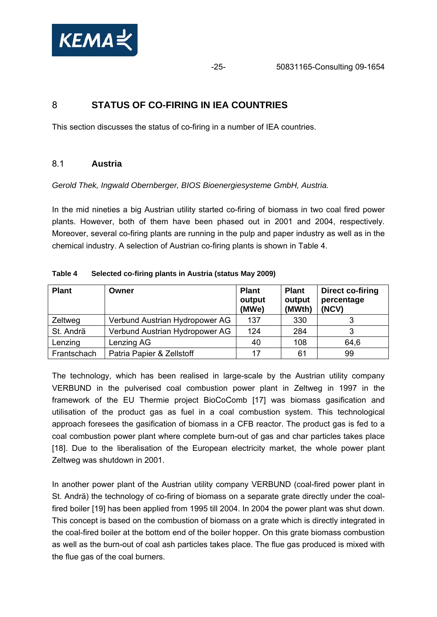<span id="page-24-0"></span>

-25- 50831165-Consulting 09-1654

## 8 **STATUS OF CO-FIRING IN IEA COUNTRIES**

This section discusses the status of co-firing in a number of IEA countries.

### 8.1 **Austria**

*Gerold Thek, Ingwald Obernberger, BIOS Bioenergiesysteme GmbH, Austria.* 

In the mid nineties a big Austrian utility started co-firing of biomass in two coal fired power plants. However, both of them have been phased out in 2001 and 2004, respectively. Moreover, several co-firing plants are running in the pulp and paper industry as well as in the chemical industry. A selection of Austrian co-firing plants is shown in [Table 4](#page-24-1).

<span id="page-24-1"></span>

| <b>Plant</b> | Owner                          | <b>Plant</b><br>output<br>(MWe) | <b>Plant</b><br>output<br>(MWth) | Direct co-firing<br>percentage<br>(NCV) |
|--------------|--------------------------------|---------------------------------|----------------------------------|-----------------------------------------|
| Zeltweg      | Verbund Austrian Hydropower AG | 137                             | 330                              |                                         |
| St. Andrä    | Verbund Austrian Hydropower AG | 124                             | 284                              | ົ                                       |
| Lenzing      | Lenzing AG                     | 40                              | 108                              | 64,6                                    |
| Frantschach  | Patria Papier & Zellstoff      | 17                              | 61                               | 99                                      |

#### **Table 4 Selected co-firing plants in Austria (status May 2009)**

The technology, which has been realised in large-scale by the Austrian utility company VERBUND in the pulverised coal combustion power plant in Zeltweg in 1997 in the framework of the EU Thermie project BioCoComb [17] was biomass gasification and utilisation of the product gas as fuel in a coal combustion system. This technological approach foresees the gasification of biomass in a CFB reactor. The product gas is fed to a coal combustion power plant where complete burn-out of gas and char particles takes place [18]. Due to the liberalisation of the European electricity market, the whole power plant Zeltweg was shutdown in 2001.

In another power plant of the Austrian utility company VERBUND (coal-fired power plant in St. Andrä) the technology of co-firing of biomass on a separate grate directly under the coalfired boiler [19] has been applied from 1995 till 2004. In 2004 the power plant was shut down. This concept is based on the combustion of biomass on a grate which is directly integrated in the coal-fired boiler at the bottom end of the boiler hopper. On this grate biomass combustion as well as the burn-out of coal ash particles takes place. The flue gas produced is mixed with the flue gas of the coal burners.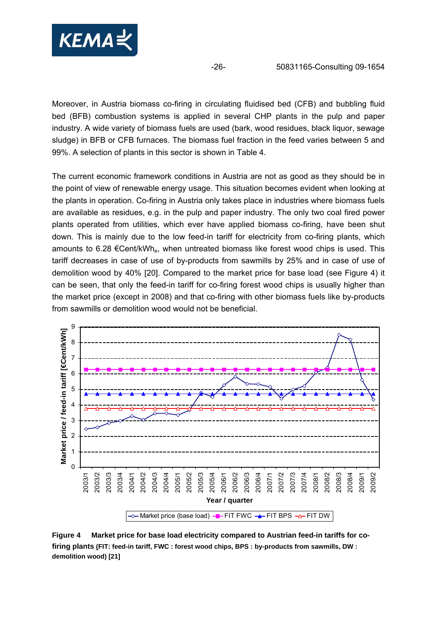

Moreover, in Austria biomass co-firing in circulating fluidised bed (CFB) and bubbling fluid bed (BFB) combustion systems is applied in several CHP plants in the pulp and paper industry. A wide variety of biomass fuels are used (bark, wood residues, black liquor, sewage sludge) in BFB or CFB furnaces. The biomass fuel fraction in the feed varies between 5 and 99%. A selection of plants in this sector is shown in [Table 4.](#page-24-1)

The current economic framework conditions in Austria are not as good as they should be in the point of view of renewable energy usage. This situation becomes evident when looking at the plants in operation. Co-firing in Austria only takes place in industries where biomass fuels are available as residues, e.g. in the pulp and paper industry. The only two coal fired power plants operated from utilities, which ever have applied biomass co-firing, have been shut down. This is mainly due to the low feed-in tariff for electricity from co-firing plants, which amounts to 6.28  $\epsilon$ Cent/kWh<sub>e</sub>, when untreated biomass like forest wood chips is used. This tariff decreases in case of use of by-products from sawmills by 25% and in case of use of demolition wood by 40% [20]. Compared to the market price for base load (see [Figure 4](#page-25-0)) it can be seen, that only the feed-in tariff for co-firing forest wood chips is usually higher than the market price (except in 2008) and that co-firing with other biomass fuels like by-products from sawmills or demolition wood would not be beneficial.



<span id="page-25-0"></span>**Figure 4 Market price for base load electricity compared to Austrian feed-in tariffs for cofiring plants (FIT: feed-in tariff, FWC : forest wood chips, BPS : by-products from sawmills, DW : demolition wood) [21]**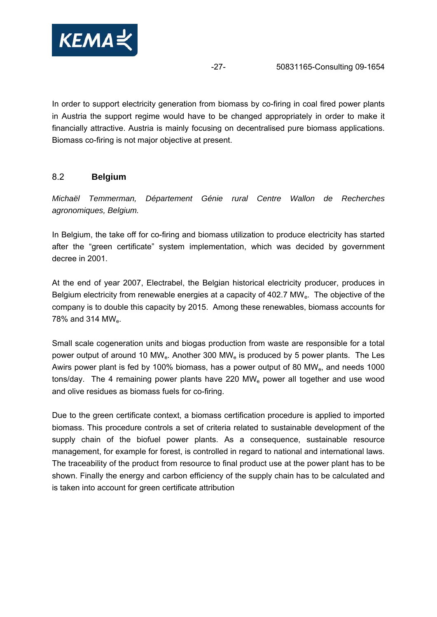<span id="page-26-0"></span>

In order to support electricity generation from biomass by co-firing in coal fired power plants in Austria the support regime would have to be changed appropriately in order to make it financially attractive. Austria is mainly focusing on decentralised pure biomass applications. Biomass co-firing is not major objective at present.

## 8.2 **Belgium**

*Michaël Temmerman, Département Génie rural Centre Wallon de Recherches agronomiques, Belgium.* 

In Belgium, the take off for co-firing and biomass utilization to produce electricity has started after the "green certificate" system implementation, which was decided by government decree in 2001.

At the end of year 2007, Electrabel, the Belgian historical electricity producer, produces in Belgium electricity from renewable energies at a capacity of 402.7 MW<sub>e</sub>. The objective of the company is to double this capacity by 2015. Among these renewables, biomass accounts for 78% and 314 MWe.

Small scale cogeneration units and biogas production from waste are responsible for a total power output of around 10 MW<sub>e</sub>. Another 300 MW<sub>e</sub> is produced by 5 power plants. The Les Awirs power plant is fed by 100% biomass, has a power output of 80 MWe, and needs 1000 tons/day. The 4 remaining power plants have 220 MWe power all together and use wood and olive residues as biomass fuels for co-firing.

Due to the green certificate context, a biomass certification procedure is applied to imported biomass. This procedure controls a set of criteria related to sustainable development of the supply chain of the biofuel power plants. As a consequence, sustainable resource management, for example for forest, is controlled in regard to national and international laws. The traceability of the product from resource to final product use at the power plant has to be shown. Finally the energy and carbon efficiency of the supply chain has to be calculated and is taken into account for green certificate attribution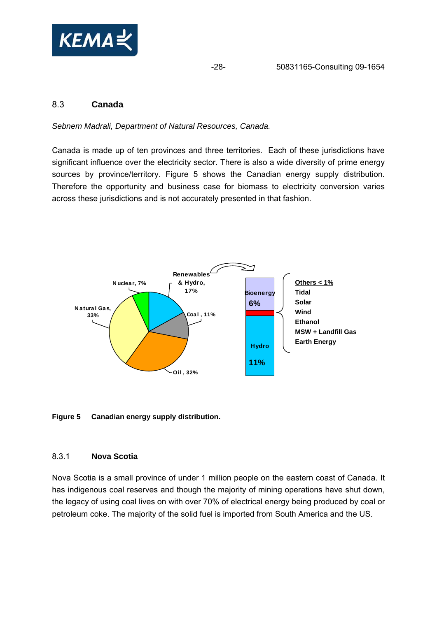<span id="page-27-0"></span>

## 8.3 **Canada**

*Sebnem Madrali, Department of Natural Resources, Canada.* 

Canada is made up of ten provinces and three territories. Each of these jurisdictions have significant influence over the electricity sector. There is also a wide diversity of prime energy sources by province/territory. [Figure 5](#page-27-1) shows the Canadian energy supply distribution. Therefore the opportunity and business case for biomass to electricity conversion varies across these jurisdictions and is not accurately presented in that fashion.



#### <span id="page-27-1"></span>**Figure 5 Canadian energy supply distribution.**

#### 8.3.1 **Nova Scotia**

Nova Scotia is a small province of under 1 million people on the eastern coast of Canada. It has indigenous coal reserves and though the majority of mining operations have shut down, the legacy of using coal lives on with over 70% of electrical energy being produced by coal or petroleum coke. The majority of the solid fuel is imported from South America and the US.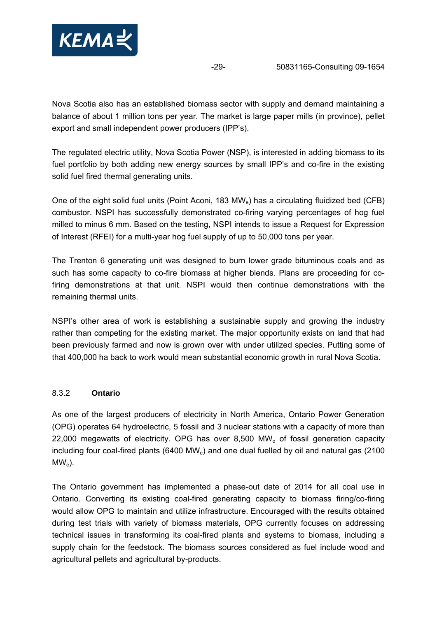<span id="page-28-0"></span>

Nova Scotia also has an established biomass sector with supply and demand maintaining a balance of about 1 million tons per year. The market is large paper mills (in province), pellet export and small independent power producers (IPP's).

The regulated electric utility, Nova Scotia Power (NSP), is interested in adding biomass to its fuel portfolio by both adding new energy sources by small IPP's and co-fire in the existing solid fuel fired thermal generating units.

One of the eight solid fuel units (Point Aconi, 183 MWe) has a circulating fluidized bed (CFB) combustor. NSPI has successfully demonstrated co-firing varying percentages of hog fuel milled to minus 6 mm. Based on the testing, NSPI intends to issue a Request for Expression of Interest (RFEI) for a multi-year hog fuel supply of up to 50,000 tons per year.

The Trenton 6 generating unit was designed to burn lower grade bituminous coals and as such has some capacity to co-fire biomass at higher blends. Plans are proceeding for cofiring demonstrations at that unit. NSPI would then continue demonstrations with the remaining thermal units.

NSPI's other area of work is establishing a sustainable supply and growing the industry rather than competing for the existing market. The major opportunity exists on land that had been previously farmed and now is grown over with under utilized species. Putting some of that 400,000 ha back to work would mean substantial economic growth in rural Nova Scotia.

## 8.3.2 **Ontario**

As one of the largest producers of electricity in North America, Ontario Power Generation (OPG) operates 64 hydroelectric, 5 fossil and 3 nuclear stations with a capacity of more than 22,000 megawatts of electricity. OPG has over 8,500 MW<sub>e</sub> of fossil generation capacity including four coal-fired plants (6400 MW $_e$ ) and one dual fuelled by oil and natural gas (2100  $MW<sub>e</sub>$ ).

The Ontario government has implemented a phase-out date of 2014 for all coal use in Ontario. Converting its existing coal-fired generating capacity to biomass firing/co-firing would allow OPG to maintain and utilize infrastructure. Encouraged with the results obtained during test trials with variety of biomass materials, OPG currently focuses on addressing technical issues in transforming its coal-fired plants and systems to biomass, including a supply chain for the feedstock. The biomass sources considered as fuel include wood and agricultural pellets and agricultural by-products.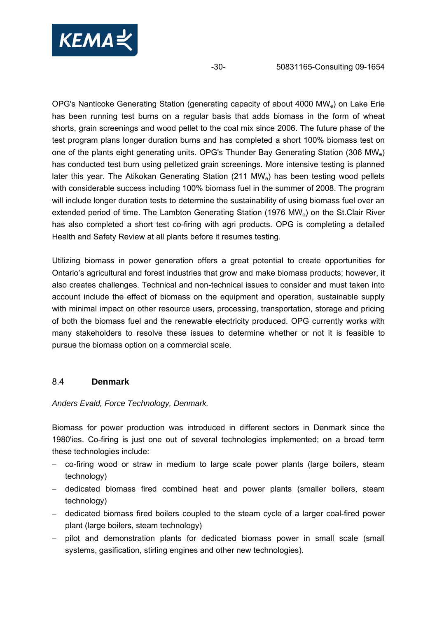<span id="page-29-0"></span>

OPG's Nanticoke Generating Station (generating capacity of about 4000 MWe) on Lake Erie has been running test burns on a regular basis that adds biomass in the form of wheat shorts, grain screenings and wood pellet to the coal mix since 2006. The future phase of the test program plans longer duration burns and has completed a short 100% biomass test on one of the plants eight generating units. OPG's Thunder Bay Generating Station (306 MWe) has conducted test burn using pelletized grain screenings. More intensive testing is planned later this year. The Atikokan Generating Station (211 MW<sub>e</sub>) has been testing wood pellets with considerable success including 100% biomass fuel in the summer of 2008. The program will include longer duration tests to determine the sustainability of using biomass fuel over an extended period of time. The Lambton Generating Station (1976 MWe) on the St.Clair River has also completed a short test co-firing with agri products. OPG is completing a detailed Health and Safety Review at all plants before it resumes testing.

Utilizing biomass in power generation offers a great potential to create opportunities for Ontario's agricultural and forest industries that grow and make biomass products; however, it also creates challenges. Technical and non-technical issues to consider and must taken into account include the effect of biomass on the equipment and operation, sustainable supply with minimal impact on other resource users, processing, transportation, storage and pricing of both the biomass fuel and the renewable electricity produced. OPG currently works with many stakeholders to resolve these issues to determine whether or not it is feasible to pursue the biomass option on a commercial scale.

## 8.4 **Denmark**

### *Anders Evald, Force Technology, Denmark.*

Biomass for power production was introduced in different sectors in Denmark since the 1980'ies. Co-firing is just one out of several technologies implemented; on a broad term these technologies include:

- − co-firing wood or straw in medium to large scale power plants (large boilers, steam technology)
- − dedicated biomass fired combined heat and power plants (smaller boilers, steam technology)
- − dedicated biomass fired boilers coupled to the steam cycle of a larger coal-fired power plant (large boilers, steam technology)
- − pilot and demonstration plants for dedicated biomass power in small scale (small systems, gasification, stirling engines and other new technologies).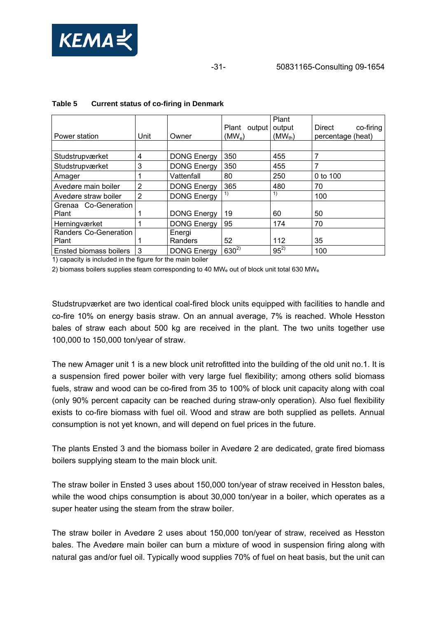

| Power station          | Unit               | Owner              | Plant<br>output<br>$(MW_e)$ | Plant<br>output<br>$(MW_{th})$ | Direct<br>co-firing<br>percentage (heat) |
|------------------------|--------------------|--------------------|-----------------------------|--------------------------------|------------------------------------------|
|                        |                    |                    |                             |                                |                                          |
| Studstrupværket        | 4                  | <b>DONG Energy</b> | 350                         | 455                            | 7                                        |
| Studstrupværket        | 3                  | <b>DONG Energy</b> | 350                         | 455                            | 7                                        |
| Amager                 |                    | Vattenfall         | 80                          | 250                            | 0 to 100                                 |
| Avedøre main boiler    | 2                  | <b>DONG Energy</b> | 365                         | 480                            | 70                                       |
| Avedøre straw boiler   | $\overline{2}$     | <b>DONG Energy</b> | 1)                          | 1)                             | 100                                      |
| Grenaa Co-Generation   |                    |                    |                             |                                |                                          |
| Plant                  |                    | <b>DONG Energy</b> | 19                          | 60                             | 50                                       |
| Herningværket          |                    | <b>DONG Energy</b> | 95                          | 174                            | 70                                       |
| Randers Co-Generation  |                    | Energi             |                             |                                |                                          |
| Plant                  |                    | Randers            | 52                          | 112                            | 35                                       |
| Ensted biomass boilers | 3<br>$\sim$ $\sim$ | <b>DONG Energy</b> | $630^{2}$                   | $95^{2}$                       | 100                                      |

#### **Table 5 Current status of co-firing in Denmark**

1) capacity is included in the figure for the main boiler

2) biomass boilers supplies steam corresponding to 40 MW $_e$  out of block unit total 630 MW $_e$ 

Studstrupværket are two identical coal-fired block units equipped with facilities to handle and co-fire 10% on energy basis straw. On an annual average, 7% is reached. Whole Hesston bales of straw each about 500 kg are received in the plant. The two units together use 100,000 to 150,000 ton/year of straw.

The new Amager unit 1 is a new block unit retrofitted into the building of the old unit no.1. It is a suspension fired power boiler with very large fuel flexibility; among others solid biomass fuels, straw and wood can be co-fired from 35 to 100% of block unit capacity along with coal (only 90% percent capacity can be reached during straw-only operation). Also fuel flexibility exists to co-fire biomass with fuel oil. Wood and straw are both supplied as pellets. Annual consumption is not yet known, and will depend on fuel prices in the future.

The plants Ensted 3 and the biomass boiler in Avedøre 2 are dedicated, grate fired biomass boilers supplying steam to the main block unit.

The straw boiler in Ensted 3 uses about 150,000 ton/year of straw received in Hesston bales, while the wood chips consumption is about 30,000 ton/year in a boiler, which operates as a super heater using the steam from the straw boiler.

The straw boiler in Avedøre 2 uses about 150,000 ton/year of straw, received as Hesston bales. The Avedøre main boiler can burn a mixture of wood in suspension firing along with natural gas and/or fuel oil. Typically wood supplies 70% of fuel on heat basis, but the unit can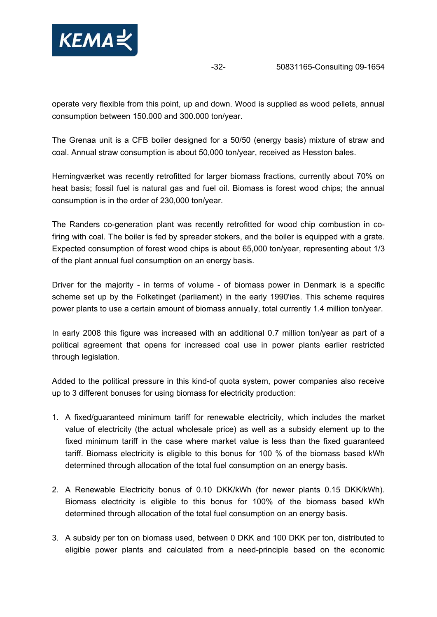

operate very flexible from this point, up and down. Wood is supplied as wood pellets, annual consumption between 150.000 and 300.000 ton/year.

The Grenaa unit is a CFB boiler designed for a 50/50 (energy basis) mixture of straw and coal. Annual straw consumption is about 50,000 ton/year, received as Hesston bales.

Herningværket was recently retrofitted for larger biomass fractions, currently about 70% on heat basis; fossil fuel is natural gas and fuel oil. Biomass is forest wood chips; the annual consumption is in the order of 230,000 ton/year.

The Randers co-generation plant was recently retrofitted for wood chip combustion in cofiring with coal. The boiler is fed by spreader stokers, and the boiler is equipped with a grate. Expected consumption of forest wood chips is about 65,000 ton/year, representing about 1/3 of the plant annual fuel consumption on an energy basis.

Driver for the majority - in terms of volume - of biomass power in Denmark is a specific scheme set up by the Folketinget (parliament) in the early 1990'ies. This scheme requires power plants to use a certain amount of biomass annually, total currently 1.4 million ton/year.

In early 2008 this figure was increased with an additional 0.7 million ton/year as part of a political agreement that opens for increased coal use in power plants earlier restricted through legislation.

Added to the political pressure in this kind-of quota system, power companies also receive up to 3 different bonuses for using biomass for electricity production:

- 1. A fixed/guaranteed minimum tariff for renewable electricity, which includes the market value of electricity (the actual wholesale price) as well as a subsidy element up to the fixed minimum tariff in the case where market value is less than the fixed guaranteed tariff. Biomass electricity is eligible to this bonus for 100 % of the biomass based kWh determined through allocation of the total fuel consumption on an energy basis.
- 2. A Renewable Electricity bonus of 0.10 DKK/kWh (for newer plants 0.15 DKK/kWh). Biomass electricity is eligible to this bonus for 100% of the biomass based kWh determined through allocation of the total fuel consumption on an energy basis.
- 3. A subsidy per ton on biomass used, between 0 DKK and 100 DKK per ton, distributed to eligible power plants and calculated from a need-principle based on the economic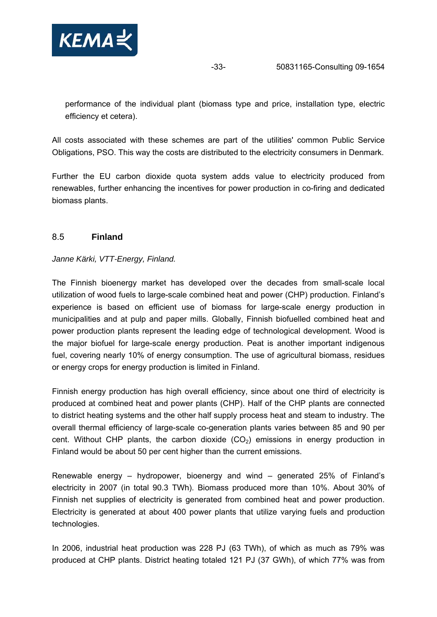<span id="page-32-0"></span>

performance of the individual plant (biomass type and price, installation type, electric efficiency et cetera).

All costs associated with these schemes are part of the utilities' common Public Service Obligations, PSO. This way the costs are distributed to the electricity consumers in Denmark.

Further the EU carbon dioxide quota system adds value to electricity produced from renewables, further enhancing the incentives for power production in co-firing and dedicated biomass plants.

## 8.5 **Finland**

*Janne Kärki, VTT-Energy, Finland.* 

The Finnish bioenergy market has developed over the decades from small-scale local utilization of wood fuels to large-scale combined heat and power (CHP) production. Finland's experience is based on efficient use of biomass for large-scale energy production in municipalities and at pulp and paper mills. Globally, Finnish biofuelled combined heat and power production plants represent the leading edge of technological development. Wood is the major biofuel for large-scale energy production. Peat is another important indigenous fuel, covering nearly 10% of energy consumption. The use of agricultural biomass, residues or energy crops for energy production is limited in Finland.

Finnish energy production has high overall efficiency, since about one third of electricity is produced at combined heat and power plants (CHP). Half of the CHP plants are connected to district heating systems and the other half supply process heat and steam to industry. The overall thermal efficiency of large-scale co-generation plants varies between 85 and 90 per cent. Without CHP plants, the carbon dioxide  $(CO<sub>2</sub>)$  emissions in energy production in Finland would be about 50 per cent higher than the current emissions.

Renewable energy – hydropower, bioenergy and wind – generated 25% of Finland's electricity in 2007 (in total 90.3 TWh). Biomass produced more than 10%. About 30% of Finnish net supplies of electricity is generated from combined heat and power production. Electricity is generated at about 400 power plants that utilize varying fuels and production technologies.

In 2006, industrial heat production was 228 PJ (63 TWh), of which as much as 79% was produced at CHP plants. District heating totaled 121 PJ (37 GWh), of which 77% was from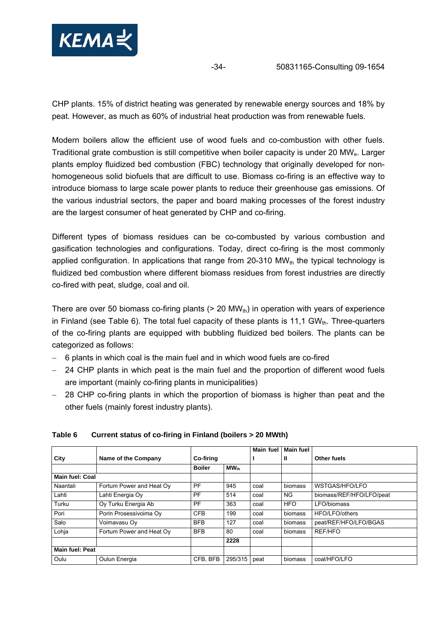

CHP plants. 15% of district heating was generated by renewable energy sources and 18% by peat. However, as much as 60% of industrial heat production was from renewable fuels.

Modern boilers allow the efficient use of wood fuels and co-combustion with other fuels. Traditional grate combustion is still competitive when boiler capacity is under 20 MWe. Larger plants employ fluidized bed combustion (FBC) technology that originally developed for nonhomogeneous solid biofuels that are difficult to use. Biomass co-firing is an effective way to introduce biomass to large scale power plants to reduce their greenhouse gas emissions. Of the various industrial sectors, the paper and board making processes of the forest industry are the largest consumer of heat generated by CHP and co-firing.

Different types of biomass residues can be co-combusted by various combustion and gasification technologies and configurations. Today, direct co-firing is the most commonly applied configuration. In applications that range from 20-310  $MW_{th}$  the typical technology is fluidized bed combustion where different biomass residues from forest industries are directly co-fired with peat, sludge, coal and oil.

There are over 50 biomass co-firing plants ( $> 20$  MW<sub>th</sub>) in operation with years of experience in Finland (see [Table 6\)](#page-33-0). The total fuel capacity of these plants is 11,1 GW<sub>th</sub>. Three-quarters of the co-firing plants are equipped with bubbling fluidized bed boilers. The plants can be categorized as follows:

- − 6 plants in which coal is the main fuel and in which wood fuels are co-fired
- − 24 CHP plants in which peat is the main fuel and the proportion of different wood fuels are important (mainly co-firing plants in municipalities)
- − 28 CHP co-firing plants in which the proportion of biomass is higher than peat and the other fuels (mainly forest industry plants).

|                        |                          |                  |           | <b>Main fuel</b> | <b>Main fuel</b> |                          |
|------------------------|--------------------------|------------------|-----------|------------------|------------------|--------------------------|
| City                   | Name of the Company      | <b>Co-firing</b> |           |                  | Ш                | Other fuels              |
|                        |                          | <b>Boiler</b>    | $MW_{th}$ |                  |                  |                          |
| <b>Main fuel: Coal</b> |                          |                  |           |                  |                  |                          |
| Naantali               | Fortum Power and Heat Oy | <b>PF</b>        | 945       | coal             | biomass          | WSTGAS/HFO/LFO           |
| Lahti                  | Lahti Energia Oy         | PF               | 514       | coal             | NG.              | biomass/REF/HFO/LFO/peat |
| Turku                  | Oy Turku Energia Ab      | <b>PF</b>        | 363       | coal             | <b>HFO</b>       | LFO/biomass              |
| Pori                   | Porin Prosessivoima Ov   | <b>CFB</b>       | 199       | coal             | biomass          | HFO/LFO/others           |
| Salo                   | Voimavasu Oy             | <b>BFB</b>       | 127       | coal             | biomass          | peat/REF/HFO/LFO/BGAS    |
| Lohja                  | Fortum Power and Heat Oy | <b>BFB</b>       | 80        | coal             | biomass          | REF/HFO                  |
|                        |                          |                  | 2228      |                  |                  |                          |
| <b>Main fuel: Peat</b> |                          |                  |           |                  |                  |                          |
| Oulu                   | Oulun Energia            | CFB. BFB         | 295/315   | peat             | biomass          | coal/HFO/LFO             |

#### <span id="page-33-0"></span>**Table 6 Current status of co-firing in Finland (boilers > 20 MWth)**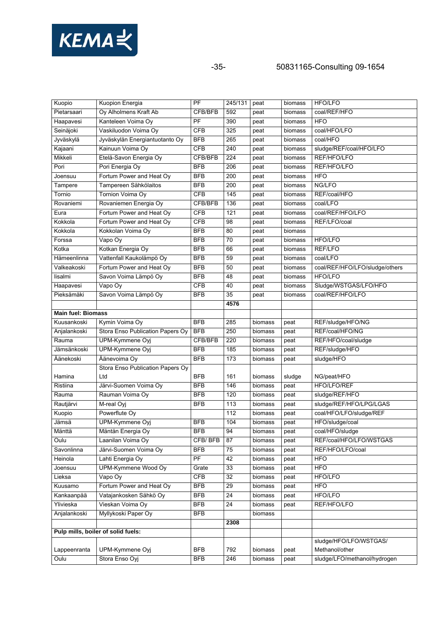

-35- 50831165-Consulting 09-1654

| Kuopio                    | Kuopion Energia                    | $\overline{PF}$ | 245/131         | peat    | biomass | <b>HFO/LFO</b>                 |
|---------------------------|------------------------------------|-----------------|-----------------|---------|---------|--------------------------------|
| Pietarsaari               | Oy Alholmens Kraft Ab              | CFB/BFB         | 592             | peat    | biomass | coal/REF/HFO                   |
| Haapavesi                 | Kanteleen Voima Oy                 | PF              | 390             | peat    | biomass | <b>HFO</b>                     |
| Seinäjoki                 | Vaskiluodon Voima Oy               | <b>CFB</b>      | 325             | peat    | biomass | coal/HFO/LFO                   |
| Jyväskylä                 | Jyväskylän Energiantuotanto Oy     | <b>BFB</b>      | 265             | peat    | biomass | coal/HFO                       |
| Kajaani                   | Kainuun Voima Oy                   | CFB             | 240             | peat    | biomass | sludge/REF/coal/HFO/LFO        |
| Mikkeli                   | Etelä-Savon Energia Oy             | CFB/BFB         | 224             | peat    | biomass | REF/HFO/LFO                    |
| Pori                      | Pori Energia Oy                    | <b>BFB</b>      | 206             | peat    | biomass | REF/HFO/LFO                    |
| Joensuu                   | Fortum Power and Heat Oy           | <b>BFB</b>      | 200             | peat    | biomass | <b>HFO</b>                     |
| Tampere                   | Tampereen Sähkölaitos              | <b>BFB</b>      | 200             | peat    | biomass | NG/LFO                         |
| Tornio                    | Tornion Voima Oy                   | CFB             | 145             | peat    | biomass | REF/coal/HFO                   |
| Rovaniemi                 | Rovaniemen Energia Oy              | CFB/BFB         | 136             | peat    | biomass | coal/LFO                       |
| Eura                      | Fortum Power and Heat Oy           | <b>CFB</b>      | 121             | peat    | biomass | coal/REF/HFO/LFO               |
| Kokkola                   | Fortum Power and Heat Oy           | <b>CFB</b>      | 98              | peat    | biomass | REF/LFO/coal                   |
| Kokkola                   | Kokkolan Voima Oy                  | <b>BFB</b>      | 80              | peat    | biomass |                                |
| Forssa                    | Vapo Oy                            | <b>BFB</b>      | 70              | peat    | biomass | HFO/LFO                        |
| Kotka                     | Kotkan Energia Oy                  | <b>BFB</b>      | 66              | peat    | biomass | <b>REF/LFO</b>                 |
| Hämeenlinna               | Vattenfall Kaukolämpö Oy           | <b>BFB</b>      | 59              | peat    | biomass | coal/LFO                       |
| Valkeakoski               | Fortum Power and Heat Oy           | <b>BFB</b>      | 50              | peat    | biomass | coal/REF/HFO/LFO/sludge/others |
| lisalmi                   | Savon Voima Lämpö Oy               | <b>BFB</b>      | 48              | peat    | biomass | <b>HFO/LFO</b>                 |
| Haapavesi                 | Vapo Oy                            | <b>CFB</b>      | 40              | peat    | biomass | Sludge/WSTGAS/LFO/HFO          |
| Pieksämäki                | Savon Voima Lämpö Oy               | <b>BFB</b>      | 35              | peat    | biomass | coal/REF/HFO/LFO               |
|                           |                                    |                 | 4576            |         |         |                                |
| <b>Main fuel: Biomass</b> |                                    |                 |                 |         |         |                                |
| Kuusankoski               | Kymin Voima Oy                     | <b>BFB</b>      | 285             | biomass | peat    | REF/sludge/HFO/NG              |
| Anjalankoski              | Stora Enso Publication Papers Oy   | <b>BFB</b>      | 250             |         |         | REF/coal/HFO/NG                |
|                           |                                    |                 | 220             | biomass | peat    |                                |
| Rauma                     | UPM-Kymmene Oyj                    | CFB/BFB         |                 | biomass | peat    | REF/HFO/coal/sludge            |
| Jämsänkoski               | UPM-Kymmene Oyj                    | <b>BFB</b>      | 185             | biomass | peat    | REF/sludge/HFO                 |
| Äänekoski                 | Äänevoima Oy                       | <b>BFB</b>      | 173             | biomass | peat    | sludge/HFO                     |
|                           | Stora Enso Publication Papers Oy   |                 |                 |         |         |                                |
| Hamina                    | Ltd                                | <b>BFB</b>      | 161             | biomass | sludge  | NG/peat/HFO                    |
| Ristiina                  | Järvi-Suomen Voima Oy              | <b>BFB</b>      | 146             | biomass | peat    | HFO/LFO/REF                    |
| Rauma                     | Rauman Voima Oy                    | <b>BFB</b>      | 120             | biomass | peat    | sludge/REF/HFO                 |
| Rautjärvi                 | M-real Oyj                         | <b>BFB</b>      | 113             | biomass | peat    | sludge/REF/HFO/LPG/LGAS        |
| Kuopio                    | Powerflute Oy                      |                 | 112             | biomass | peat    | coal/HFO/LFO/sludge/REF        |
| Jämsä                     | UPM-Kymmene Oyi                    | <b>BFB</b>      | 104             | biomass | peat    | HFO/sludge/coal                |
| Mänttä                    | Mäntän Energia Oy                  | <b>BFB</b>      | 94              | biomass | peat    | coal/HFO/sludge                |
| Oulu                      | Laanilan Voima Oy                  | CFB/BFB         | 87              | biomass | peat    | REF/coal/HFO/LFO/WSTGAS        |
| Savonlinna                | Järvi-Suomen Voima Oy              | <b>BFB</b>      | 75              | biomass | peat    | REF/HFO/LFO/coal               |
| Heinola                   | Lahti Energia Oy                   | PF              | 42              | biomass | peat    | <b>HFO</b>                     |
| Joensuu                   | UPM-Kymmene Wood Oy                | Grate           | 33              | biomass | peat    | <b>HFO</b>                     |
| Lieksa                    | Vapo Oy                            | CFB             | $\overline{32}$ | biomass | peat    | HFO/LFO                        |
| Kuusamo                   | Fortum Power and Heat Oy           | <b>BFB</b>      | 29              | biomass | peat    | <b>HFO</b>                     |
| Kankaanpää                | Vatajankosken Sähkö Oy             | <b>BFB</b>      | 24              | biomass | peat    | <b>HFO/LFO</b>                 |
| Ylivieska                 | Vieskan Voima Oy                   | <b>BFB</b>      | 24              | biomass | peat    | REF/HFO/LFO                    |
| Anjalankoski              | Myllykoski Paper Oy                | <b>BFB</b>      |                 | biomass |         |                                |
|                           |                                    |                 | 2308            |         |         |                                |
|                           | Pulp mills, boiler of solid fuels: |                 |                 |         |         |                                |
|                           |                                    |                 |                 |         |         | sludge/HFO/LFO/WSTGAS/         |
| Lappeenranta              | UPM-Kymmene Oyj                    | <b>BFB</b>      | 792             | biomass | peat    | Methanol/other                 |
| Oulu                      | Stora Enso Oyj                     | <b>BFB</b>      | 246             | biomass | peat    | sludge/LFO/methanol/hydrogen   |
|                           |                                    |                 |                 |         |         |                                |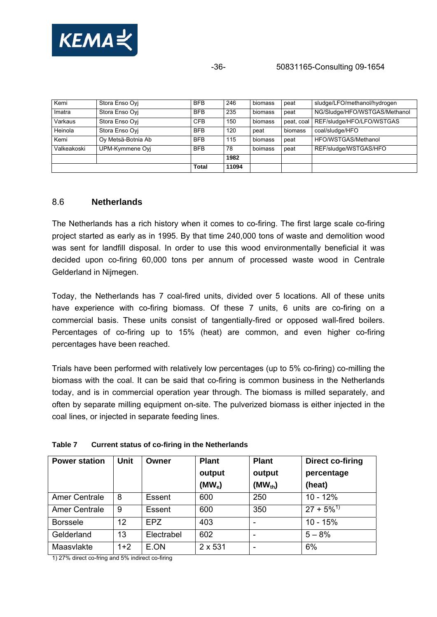<span id="page-35-0"></span>

-36- 50831165-Consulting 09-1654

| Kemi        | Stora Enso Ovi     | <b>BFB</b>   | 246   | biomass | peat       | sludge/LFO/methanol/hydrogen  |
|-------------|--------------------|--------------|-------|---------|------------|-------------------------------|
| Imatra      | Stora Enso Ovi     | <b>BFB</b>   | 235   | biomass | peat       | NG/Sludge/HFO/WSTGAS/Methanol |
| Varkaus     | Stora Enso Ovi     | <b>CFB</b>   | 150   | biomass | peat, coal | REF/sludge/HFO/LFO/WSTGAS     |
| Heinola     | Stora Enso Ovi     | <b>BFB</b>   | 120   | peat    | biomass    | coal/sludge/HFO               |
| Kemi        | Oy Metsä-Botnia Ab | <b>BFB</b>   | 115   | biomass | peat       | HFO/WSTGAS/Methanol           |
| Valkeakoski | UPM-Kymmene Oyj    | <b>BFB</b>   | 78    | boimass | peat       | REF/sludge/WSTGAS/HFO         |
|             |                    |              | 1982  |         |            |                               |
|             |                    | <b>Total</b> | 11094 |         |            |                               |

### 8.6 **Netherlands**

The Netherlands has a rich history when it comes to co-firing. The first large scale co-firing project started as early as in 1995. By that time 240,000 tons of waste and demolition wood was sent for landfill disposal. In order to use this wood environmentally beneficial it was decided upon co-firing 60,000 tons per annum of processed waste wood in Centrale Gelderland in Nijmegen.

Today, the Netherlands has 7 coal-fired units, divided over 5 locations. All of these units have experience with co-firing biomass. Of these 7 units, 6 units are co-firing on a commercial basis. These units consist of tangentially-fired or opposed wall-fired boilers. Percentages of co-firing up to 15% (heat) are common, and even higher co-firing percentages have been reached.

Trials have been performed with relatively low percentages (up to 5% co-firing) co-milling the biomass with the coal. It can be said that co-firing is common business in the Netherlands today, and is in commercial operation year through. The biomass is milled separately, and often by separate milling equipment on-site. The pulverized biomass is either injected in the coal lines, or injected in separate feeding lines.

| <b>Power station</b> | Unit  | Owner      | <b>Plant</b><br>output<br>(MW <sub>e</sub> ) | <b>Plant</b><br>output<br>$(MW_{th})$ | Direct co-firing<br>percentage<br>(heat) |
|----------------------|-------|------------|----------------------------------------------|---------------------------------------|------------------------------------------|
| Amer Centrale        | 8     | Essent     | 600                                          | 250                                   | $10 - 12%$                               |
| <b>Amer Centrale</b> | 9     | Essent     | 600                                          | 350                                   | $27 + 5\%^{1}$                           |
| <b>Borssele</b>      | 12    | <b>EPZ</b> | 403                                          |                                       | $10 - 15%$                               |
| Gelderland           | 13    | Electrabel | 602                                          |                                       | $5 - 8%$                                 |
| Maasvlakte           | $1+2$ | E.ON       | $2 \times 531$                               |                                       | 6%                                       |

#### **Table 7 Current status of co-firing in the Netherlands**

1) 27% direct co-fring and 5% indirect co-firing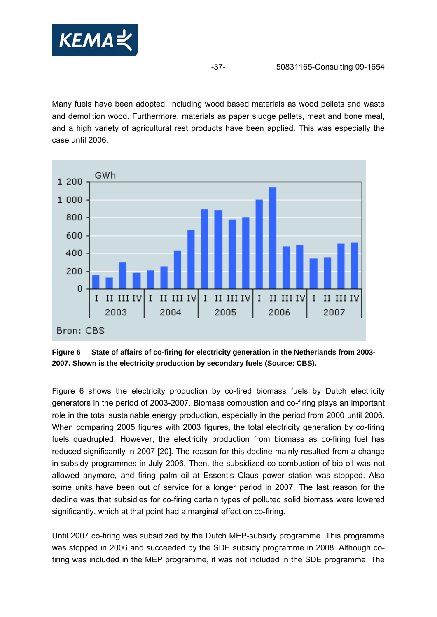

Many fuels have been adopted, including wood based materials as wood pellets and waste and demolition wood. Furthermore, materials as paper sludge pellets, meat and bone meal, and a high variety of agricultural rest products have been applied. This was especially the case until 2006.



<span id="page-36-0"></span>**Figure 6 State of affairs of co-firing for electricity generation in the Netherlands from 2003- 2007. Shown is the electricity production by secondary fuels (Source: CBS).** 

[Figure 6](#page-36-0) shows the electricity production by co-fired biomass fuels by Dutch electricity generators in the period of 2003-2007. Biomass combustion and co-firing plays an important role in the total sustainable energy production, especially in the period from 2000 until 2006. When comparing 2005 figures with 2003 figures, the total electricity generation by co-firing fuels quadrupled. However, the electricity production from biomass as co-firing fuel has reduced significantly in 2007 [20]. The reason for this decline mainly resulted from a change in subsidy programmes in July 2006. Then, the subsidized co-combustion of bio-oil was not allowed anymore, and firing palm oil at Essent's Claus power station was stopped. Also some units have been out of service for a longer period in 2007. The last reason for the decline was that subsidies for co-firing certain types of polluted solid biomass were lowered significantly, which at that point had a marginal effect on co-firing.

Until 2007 co-firing was subsidized by the Dutch MEP-subsidy programme. This programme was stopped in 2006 and succeeded by the SDE subsidy programme in 2008. Although cofiring was included in the MEP programme, it was not included in the SDE programme. The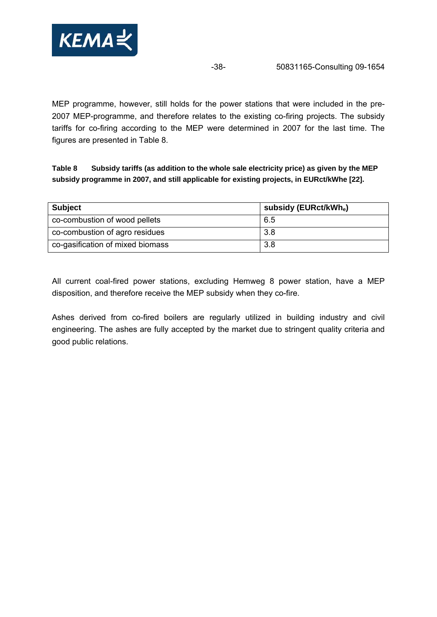

MEP programme, however, still holds for the power stations that were included in the pre-2007 MEP-programme, and therefore relates to the existing co-firing projects. The subsidy tariffs for co-firing according to the MEP were determined in 2007 for the last time. The figures are presented in [Table 8](#page-37-0).

<span id="page-37-0"></span>**Table 8 Subsidy tariffs (as addition to the whole sale electricity price) as given by the MEP subsidy programme in 2007, and still applicable for existing projects, in EURct/kWhe [22].** 

| <b>Subject</b>                   | subsidy (EURct/kWh <sub>e</sub> ) |
|----------------------------------|-----------------------------------|
| co-combustion of wood pellets    | 6.5                               |
| co-combustion of agro residues   | 3.8                               |
| co-gasification of mixed biomass | 3.8                               |

All current coal-fired power stations, excluding Hemweg 8 power station, have a MEP disposition, and therefore receive the MEP subsidy when they co-fire.

Ashes derived from co-fired boilers are regularly utilized in building industry and civil engineering. The ashes are fully accepted by the market due to stringent quality criteria and good public relations.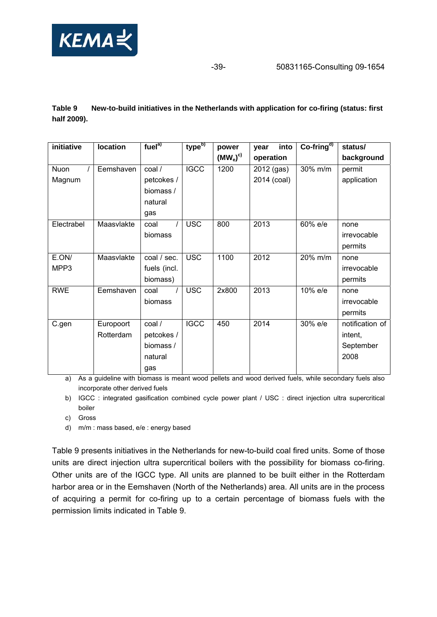

### <span id="page-38-0"></span>**Table 9 New-to-build initiatives in the Netherlands with application for co-firing (status: first half 2009).**

| initiative | location   | fuel <sup>a</sup> | type <sup>b)</sup> | power        | into<br>year | $Co-fringd$ | status/         |
|------------|------------|-------------------|--------------------|--------------|--------------|-------------|-----------------|
|            |            |                   |                    | $(MW_e)^{c}$ | operation    |             | background      |
| Nuon       | Eemshaven  | coal /            | <b>IGCC</b>        | 1200         | 2012 (gas)   | 30% m/m     | permit          |
| Magnum     |            | petcokes /        |                    |              | 2014 (coal)  |             | application     |
|            |            | biomass /         |                    |              |              |             |                 |
|            |            | natural           |                    |              |              |             |                 |
|            |            | gas               |                    |              |              |             |                 |
| Electrabel | Maasvlakte | $\prime$<br>coal  | <b>USC</b>         | 800          | 2013         | 60% e/e     | none            |
|            |            | biomass           |                    |              |              |             | irrevocable     |
|            |            |                   |                    |              |              |             | permits         |
| E.ON/      | Maasvlakte | coal / sec.       | <b>USC</b>         | 1100         | 2012         | 20% m/m     | none            |
| MPP3       |            | fuels (incl.      |                    |              |              |             | irrevocable     |
|            |            | biomass)          |                    |              |              |             | permits         |
| <b>RWE</b> | Eemshaven  | coal              | <b>USC</b>         | 2x800        | 2013         | 10% e/e     | none            |
|            |            | biomass           |                    |              |              |             | irrevocable     |
|            |            |                   |                    |              |              |             | permits         |
| C.gen      | Europoort  | coal /            | <b>IGCC</b>        | 450          | 2014         | 30% e/e     | notification of |
|            | Rotterdam  | petcokes /        |                    |              |              |             | intent,         |
|            |            | biomass /         |                    |              |              |             | September       |
|            |            | natural           |                    |              |              |             | 2008            |
|            |            | gas               |                    |              |              |             |                 |

a) As a guideline with biomass is meant wood pellets and wood derived fuels, while secondary fuels also incorporate other derived fuels

b) IGCC : integrated gasification combined cycle power plant / USC : direct injection ultra supercritical boiler

- c) Gross
- d) m/m : mass based, e/e : energy based

[Table 9](#page-38-0) presents initiatives in the Netherlands for new-to-build coal fired units. Some of those units are direct injection ultra supercritical boilers with the possibility for biomass co-firing. Other units are of the IGCC type. All units are planned to be built either in the Rotterdam harbor area or in the Eemshaven (North of the Netherlands) area. All units are in the process of acquiring a permit for co-firing up to a certain percentage of biomass fuels with the permission limits indicated in [Table 9.](#page-38-0)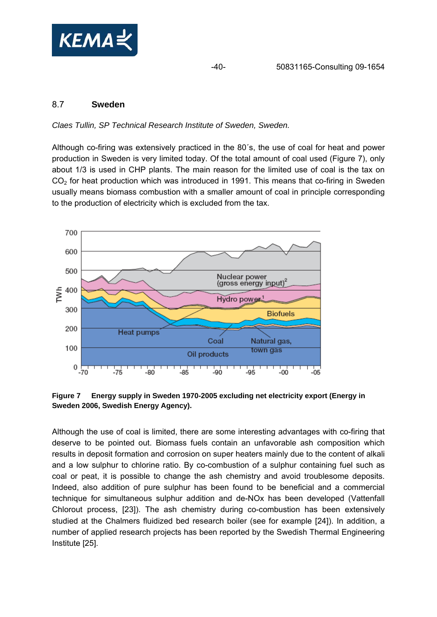<span id="page-39-0"></span>

## 8.7 **Sweden**

#### *Claes Tullin, SP Technical Research Institute of Sweden, Sweden.*

Although co-firing was extensively practiced in the 80´s, the use of coal for heat and power production in Sweden is very limited today. Of the total amount of coal used [\(Figure 7\)](#page-39-1), only about 1/3 is used in CHP plants. The main reason for the limited use of coal is the tax on  $CO<sub>2</sub>$  for heat production which was introduced in 1991. This means that co-firing in Sweden usually means biomass combustion with a smaller amount of coal in principle corresponding to the production of electricity which is excluded from the tax.



<span id="page-39-1"></span>**Figure 7 Energy supply in Sweden 1970-2005 excluding net electricity export (Energy in Sweden 2006, Swedish Energy Agency).** 

Although the use of coal is limited, there are some interesting advantages with co-firing that deserve to be pointed out. Biomass fuels contain an unfavorable ash composition which results in deposit formation and corrosion on super heaters mainly due to the content of alkali and a low sulphur to chlorine ratio. By co-combustion of a sulphur containing fuel such as coal or peat, it is possible to change the ash chemistry and avoid troublesome deposits. Indeed, also addition of pure sulphur has been found to be beneficial and a commercial technique for simultaneous sulphur addition and de-NOx has been developed (Vattenfall Chlorout process, [23]). The ash chemistry during co-combustion has been extensively studied at the Chalmers fluidized bed research boiler (see for example [24]). In addition, a number of applied research projects has been reported by the Swedish Thermal Engineering Institute [25].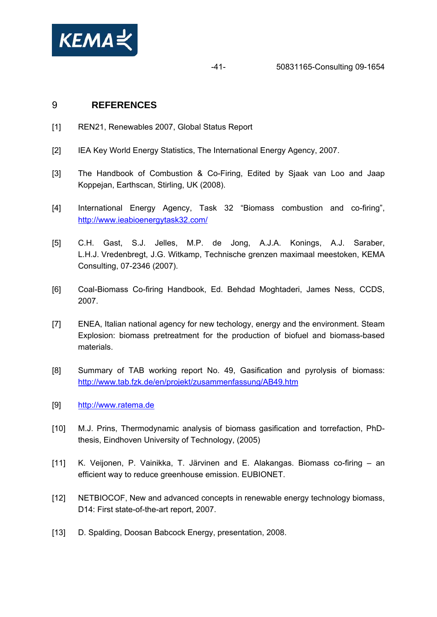<span id="page-40-0"></span>

## 9 **REFERENCES**

- [1] REN21, Renewables 2007, Global Status Report
- [2] IEA Key World Energy Statistics, The International Energy Agency, 2007.
- [3] The Handbook of Combustion & Co-Firing, Edited by Sjaak van Loo and Jaap Koppejan, Earthscan, Stirling, UK (2008).
- [4] International Energy Agency, Task 32 "Biomass combustion and co-firing", <http://www.ieabioenergytask32.com/>
- [5] C.H. Gast, S.J. Jelles, M.P. de Jong, A.J.A. Konings, A.J. Saraber, L.H.J. Vredenbregt, J.G. Witkamp, Technische grenzen maximaal meestoken, KEMA Consulting, 07-2346 (2007).
- [6] Coal-Biomass Co-firing Handbook, Ed. Behdad Moghtaderi, James Ness, CCDS, 2007.
- [7] ENEA, Italian national agency for new techology, energy and the environment. Steam Explosion: biomass pretreatment for the production of biofuel and biomass-based materials.
- [8] Summary of TAB working report No. 49, Gasification and pyrolysis of biomass: <http://www.tab.fzk.de/en/projekt/zusammenfassung/AB49.htm>
- [9] [http://www.ratema.de](http://www.ratema.de/)
- [10] M.J. Prins, Thermodynamic analysis of biomass gasification and torrefaction, PhDthesis, Eindhoven University of Technology, (2005)
- [11] K. Veijonen, P. Vainikka, T. Järvinen and E. Alakangas. Biomass co-firing an efficient way to reduce greenhouse emission. EUBIONET.
- [12] NETBIOCOF, New and advanced concepts in renewable energy technology biomass, D14: First state-of-the-art report, 2007.
- [13] D. Spalding, Doosan Babcock Energy, presentation, 2008.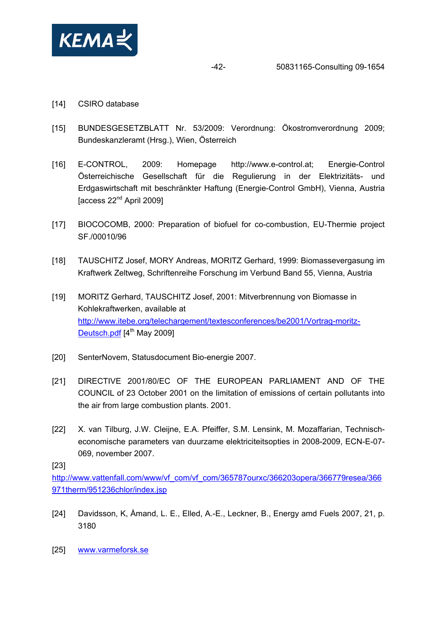

- [14] CSIRO database
- [15] BUNDESGESETZBLATT Nr. 53/2009: Verordnung: Ökostromverordnung 2009; Bundeskanzleramt (Hrsg.), Wien, Österreich
- [16] E-CONTROL, 2009: Homepage http://www.e-control.at; Energie-Control Österreichische Gesellschaft für die Regulierung in der Elektrizitäts- und Erdgaswirtschaft mit beschränkter Haftung (Energie-Control GmbH), Vienna, Austria [access 22nd April 2009]
- [17] BIOCOCOMB, 2000: Preparation of biofuel for co-combustion, EU-Thermie project SF./00010/96
- [18] TAUSCHITZ Josef, MORY Andreas, MORITZ Gerhard, 1999: Biomassevergasung im Kraftwerk Zeltweg, Schriftenreihe Forschung im Verbund Band 55, Vienna, Austria
- [19] MORITZ Gerhard, TAUSCHITZ Josef, 2001: Mitverbrennung von Biomasse in Kohlekraftwerken, available at [http://www.itebe.org/telechargement/textesconferences/be2001/Vortrag-moritz-](http://www.itebe.org/telechargement/textesconferences/be2001/Vortrag-moritz-Deutsch.pdf)[Deutsch.pdf](http://www.itebe.org/telechargement/textesconferences/be2001/Vortrag-moritz-Deutsch.pdf) [4<sup>th</sup> May 2009]
- [20] SenterNovem, Statusdocument Bio-energie 2007.
- [21] DIRECTIVE 2001/80/EC OF THE EUROPEAN PARLIAMENT AND OF THE COUNCIL of 23 October 2001 on the limitation of emissions of certain pollutants into the air from large combustion plants. 2001.
- [22] X. van Tilburg, J.W. Cleijne, E.A. Pfeiffer, S.M. Lensink, M. Mozaffarian, Technischeconomische parameters van duurzame elektriciteitsopties in 2008-2009, ECN-E-07- 069, november 2007.

[23]

[http://www.vattenfall.com/www/vf\\_com/vf\\_com/365787ourxc/366203opera/366779resea/366](http://www.vattenfall.com/www/vf_com/vf_com/365787ourxc/366203opera/366779resea/366971therm/951236chlor/index.jsp) [971therm/951236chlor/index.jsp](http://www.vattenfall.com/www/vf_com/vf_com/365787ourxc/366203opera/366779resea/366971therm/951236chlor/index.jsp)

- [24] Davidsson, K, Åmand, L. E., Elled, A.-E., Leckner, B., Energy amd Fuels 2007, 21, p. 3180
- [25] [www.varmeforsk.se](http://www.varmeforsk.se/)